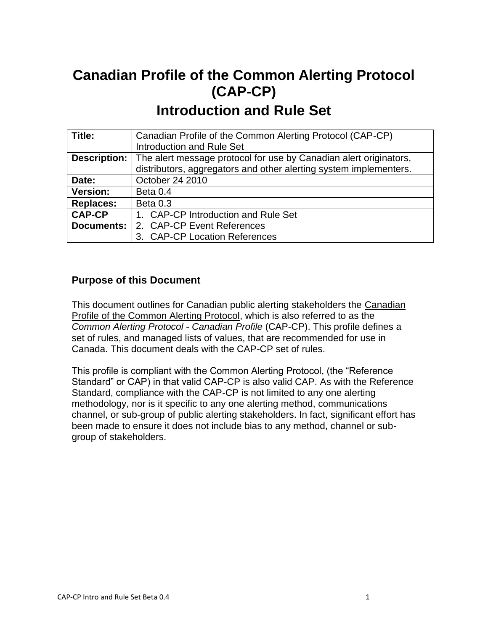# **Canadian Profile of the Common Alerting Protocol (CAP-CP) Introduction and Rule Set**

| Title:              | Canadian Profile of the Common Alerting Protocol (CAP-CP)         |
|---------------------|-------------------------------------------------------------------|
|                     | <b>Introduction and Rule Set</b>                                  |
| <b>Description:</b> | The alert message protocol for use by Canadian alert originators, |
|                     | distributors, aggregators and other alerting system implementers. |
| Date:               | October 24 2010                                                   |
| <b>Version:</b>     | Beta 0.4                                                          |
| <b>Replaces:</b>    | Beta 0.3                                                          |
| <b>CAP-CP</b>       | 1. CAP-CP Introduction and Rule Set                               |
| <b>Documents:</b>   | 2. CAP-CP Event References                                        |
|                     | 3. CAP-CP Location References                                     |

### **Purpose of this Document**

This document outlines for Canadian public alerting stakeholders the Canadian Profile of the Common Alerting Protocol, which is also referred to as the *Common Alerting Protocol* - *Canadian Profile* (CAP-CP). This profile defines a set of rules, and managed lists of values, that are recommended for use in Canada. This document deals with the CAP-CP set of rules.

This profile is compliant with the Common Alerting Protocol, (the "Reference Standard" or CAP) in that valid CAP-CP is also valid CAP. As with the Reference Standard, compliance with the CAP-CP is not limited to any one alerting methodology, nor is it specific to any one alerting method, communications channel, or sub-group of public alerting stakeholders. In fact, significant effort has been made to ensure it does not include bias to any method, channel or subgroup of stakeholders.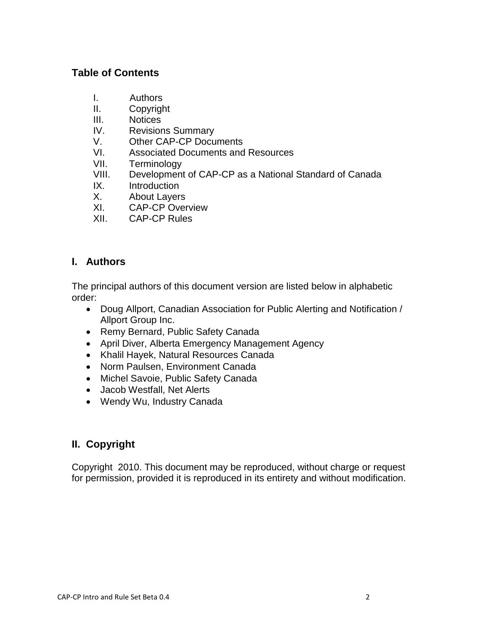### **Table of Contents**

- I. Authors
- II. Copyright
- III. Notices
- IV. Revisions Summary
- V. Other CAP-CP Documents
- VI. Associated Documents and Resources<br>VII. Terminology
- **Terminology**
- VIII. Development of CAP-CP as a National Standard of Canada
- IX. Introduction
- X. About Layers
- XI. CAP-CP Overview
- XII. CAP-CP Rules

### **I. Authors**

The principal authors of this document version are listed below in alphabetic order:

- Doug Allport, Canadian Association for Public Alerting and Notification / Allport Group Inc.
- Remy Bernard, Public Safety Canada
- April Diver, Alberta Emergency Management Agency
- Khalil Hayek, Natural Resources Canada
- Norm Paulsen, Environment Canada
- Michel Savoie, Public Safety Canada
- Jacob Westfall, Net Alerts
- Wendy Wu, Industry Canada

### **II. Copyright**

Copyright 2010. This document may be reproduced, without charge or request for permission, provided it is reproduced in its entirety and without modification.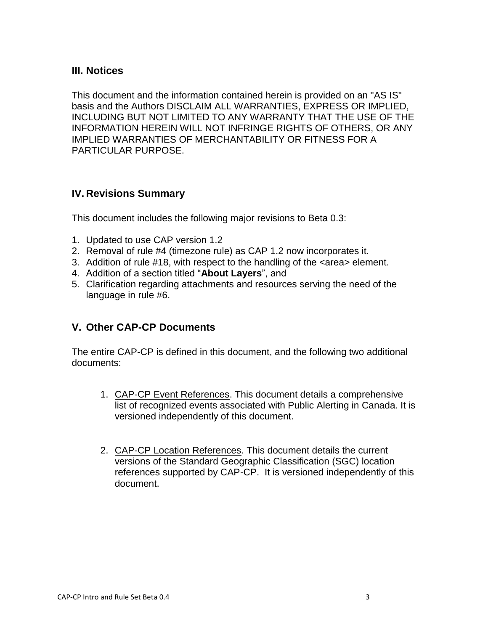### **III. Notices**

This document and the information contained herein is provided on an "AS IS" basis and the Authors DISCLAIM ALL WARRANTIES, EXPRESS OR IMPLIED, INCLUDING BUT NOT LIMITED TO ANY WARRANTY THAT THE USE OF THE INFORMATION HEREIN WILL NOT INFRINGE RIGHTS OF OTHERS, OR ANY IMPLIED WARRANTIES OF MERCHANTABILITY OR FITNESS FOR A PARTICULAR PURPOSE.

### **IV. Revisions Summary**

This document includes the following major revisions to Beta 0.3:

- 1. Updated to use CAP version 1.2
- 2. Removal of rule #4 (timezone rule) as CAP 1.2 now incorporates it.
- 3. Addition of rule #18, with respect to the handling of the <area> element.
- 4. Addition of a section titled "**About Layers**", and
- 5. Clarification regarding attachments and resources serving the need of the language in rule #6.

### **V. Other CAP-CP Documents**

The entire CAP-CP is defined in this document, and the following two additional documents:

- 1. CAP-CP Event References. This document details a comprehensive list of recognized events associated with Public Alerting in Canada. It is versioned independently of this document.
- 2. CAP-CP Location References. This document details the current versions of the Standard Geographic Classification (SGC) location references supported by CAP-CP. It is versioned independently of this document.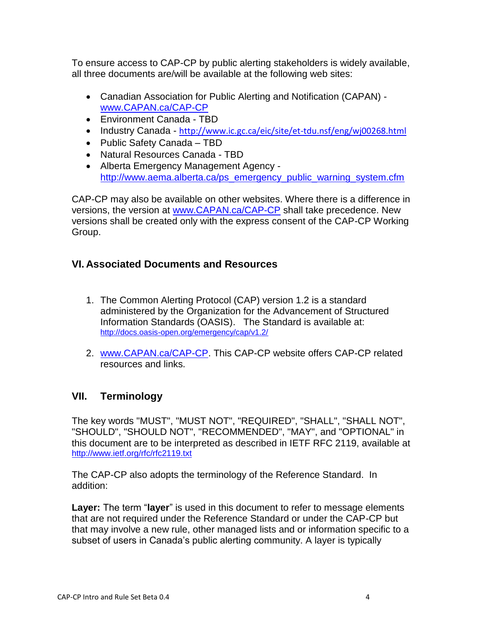To ensure access to CAP-CP by public alerting stakeholders is widely available, all three documents are/will be available at the following web sites:

- Canadian Association for Public Alerting and Notification (CAPAN) [www.CAPAN.ca/CAP-CP](http://www.capan.ca/CAP-CP)
- Environment Canada TBD
- Industry Canada <http://www.ic.gc.ca/eic/site/et-tdu.nsf/eng/wj00268.html>
- Public Safety Canada TBD
- Natural Resources Canada TBD
- Alberta Emergency Management Agency [http://www.aema.alberta.ca/ps\\_emergency\\_public\\_warning\\_system.cfm](http://www.aema.alberta.ca/ps_emergency_public_warning_system.cfm)

CAP-CP may also be available on other websites. Where there is a difference in versions, the version at [www.CAPAN.ca/CAP-CP](http://www.capan.ca/CAP-CP) shall take precedence. New versions shall be created only with the express consent of the CAP-CP Working Group.

### **VI. Associated Documents and Resources**

- 1. The Common Alerting Protocol (CAP) version 1.2 is a standard administered by the Organization for the Advancement of Structured Information Standards (OASIS). The Standard is available at: <http://docs.oasis-open.org/emergency/cap/v1.2/>
- 2. [www.CAPAN.ca/CAP-CP.](http://www.capan.ca/CAP-CP) This CAP-CP website offers CAP-CP related resources and links.

### **VII. Terminology**

The key words "MUST", "MUST NOT", "REQUIRED", "SHALL", "SHALL NOT", "SHOULD", "SHOULD NOT", "RECOMMENDED", "MAY", and "OPTIONAL" in this document are to be interpreted as described in IETF RFC 2119, available at <http://www.ietf.org/rfc/rfc2119.txt>

The CAP-CP also adopts the terminology of the Reference Standard. In addition:

**Layer:** The term "**layer**" is used in this document to refer to message elements that are not required under the Reference Standard or under the CAP-CP but that may involve a new rule, other managed lists and or information specific to a subset of users in Canada's public alerting community. A layer is typically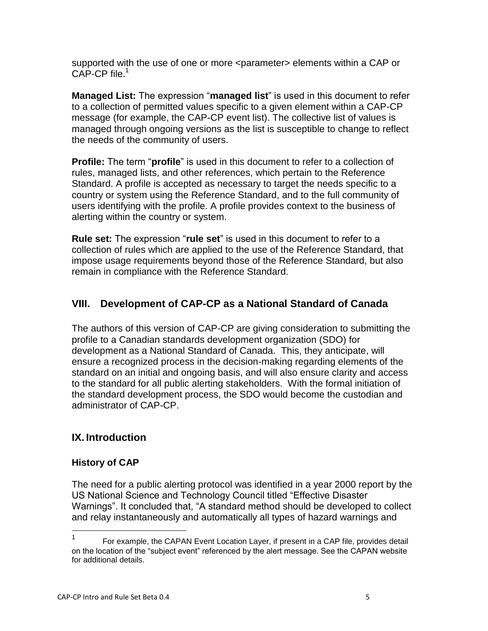supported with the use of one or more <parameter> elements within a CAP or CAP-CP file.<sup>1</sup>

**Managed List:** The expression "**managed list**" is used in this document to refer to a collection of permitted values specific to a given element within a CAP-CP message (for example, the CAP-CP event list). The collective list of values is managed through ongoing versions as the list is susceptible to change to reflect the needs of the community of users.

**Profile:** The term "**profile**" is used in this document to refer to a collection of rules, managed lists, and other references, which pertain to the Reference Standard. A profile is accepted as necessary to target the needs specific to a country or system using the Reference Standard, and to the full community of users identifying with the profile. A profile provides context to the business of alerting within the country or system.

**Rule set:** The expression "**rule set**" is used in this document to refer to a collection of rules which are applied to the use of the Reference Standard, that impose usage requirements beyond those of the Reference Standard, but also remain in compliance with the Reference Standard.

## **VIII. Development of CAP-CP as a National Standard of Canada**

The authors of this version of CAP-CP are giving consideration to submitting the profile to a Canadian standards development organization (SDO) for development as a National Standard of Canada. This, they anticipate, will ensure a recognized process in the decision-making regarding elements of the standard on an initial and ongoing basis, and will also ensure clarity and access to the standard for all public alerting stakeholders. With the formal initiation of the standard development process, the SDO would become the custodian and administrator of CAP-CP.

### **IX. Introduction**

### **History of CAP**

The need for a public alerting protocol was identified in a year 2000 report by the US National Science and Technology Council titled "Effective Disaster Warnings". It concluded that, "A standard method should be developed to collect and relay instantaneously and automatically all types of hazard warnings and

 $\frac{1}{1}$ For example, the CAPAN Event Location Layer, if present in a CAP file, provides detail on the location of the "subject event" referenced by the alert message. See the CAPAN website for additional details.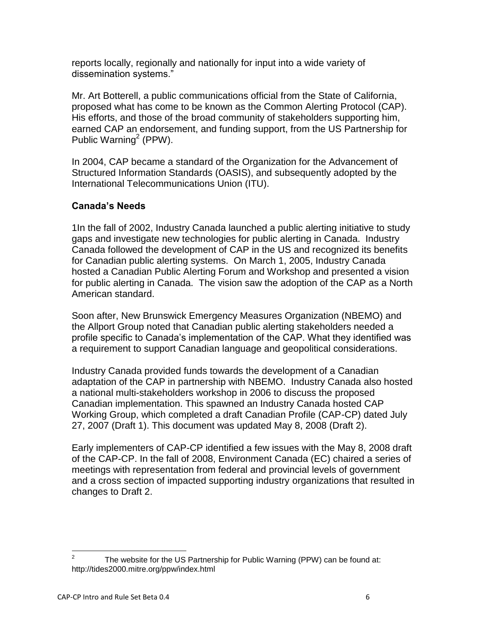reports locally, regionally and nationally for input into a wide variety of dissemination systems."

Mr. Art Botterell, a public communications official from the State of California, proposed what has come to be known as the Common Alerting Protocol (CAP). His efforts, and those of the broad community of stakeholders supporting him, earned CAP an endorsement, and funding support, from the US Partnership for Public Warning<sup>2</sup> (PPW).

In 2004, CAP became a standard of the Organization for the Advancement of Structured Information Standards (OASIS), and subsequently adopted by the International Telecommunications Union (ITU).

### **Canada's Needs**

1In the fall of 2002, Industry Canada launched a public alerting initiative to study gaps and investigate new technologies for public alerting in Canada. Industry Canada followed the development of CAP in the US and recognized its benefits for Canadian public alerting systems. On March 1, 2005, Industry Canada hosted a Canadian Public Alerting Forum and Workshop and presented a vision for public alerting in Canada. The vision saw the adoption of the CAP as a North American standard.

Soon after, New Brunswick Emergency Measures Organization (NBEMO) and the Allport Group noted that Canadian public alerting stakeholders needed a profile specific to Canada"s implementation of the CAP. What they identified was a requirement to support Canadian language and geopolitical considerations.

Industry Canada provided funds towards the development of a Canadian adaptation of the CAP in partnership with NBEMO. Industry Canada also hosted a national multi-stakeholders workshop in 2006 to discuss the proposed Canadian implementation. This spawned an Industry Canada hosted CAP Working Group, which completed a draft Canadian Profile (CAP-CP) dated July 27, 2007 (Draft 1). This document was updated May 8, 2008 (Draft 2).

Early implementers of CAP-CP identified a few issues with the May 8, 2008 draft of the CAP-CP. In the fall of 2008, Environment Canada (EC) chaired a series of meetings with representation from federal and provincial levels of government and a cross section of impacted supporting industry organizations that resulted in changes to Draft 2.

 $\frac{1}{2}$ The website for the US Partnership for Public Warning (PPW) can be found at: http://tides2000.mitre.org/ppw/index.html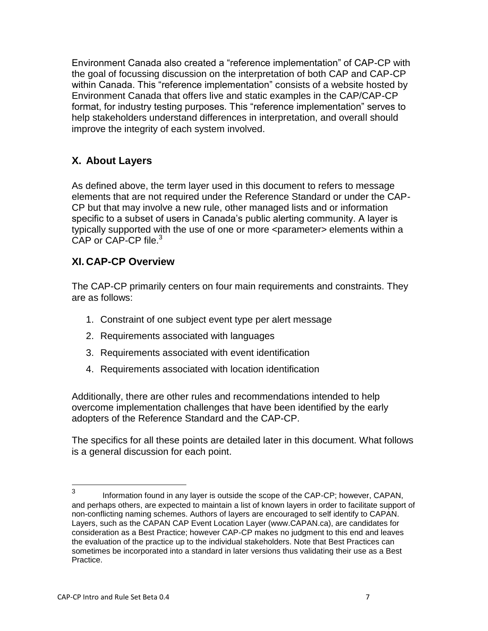Environment Canada also created a "reference implementation" of CAP-CP with the goal of focussing discussion on the interpretation of both CAP and CAP-CP within Canada. This "reference implementation" consists of a website hosted by Environment Canada that offers live and static examples in the CAP/CAP-CP format, for industry testing purposes. This "reference implementation" serves to help stakeholders understand differences in interpretation, and overall should improve the integrity of each system involved.

## **X. About Layers**

As defined above, the term layer used in this document to refers to message elements that are not required under the Reference Standard or under the CAP-CP but that may involve a new rule, other managed lists and or information specific to a subset of users in Canada"s public alerting community. A layer is typically supported with the use of one or more <parameter> elements within a CAP or CAP-CP file.<sup>3</sup>

### **XI. CAP-CP Overview**

The CAP-CP primarily centers on four main requirements and constraints. They are as follows:

- 1. Constraint of one subject event type per alert message
- 2. Requirements associated with languages
- 3. Requirements associated with event identification
- 4. Requirements associated with location identification

Additionally, there are other rules and recommendations intended to help overcome implementation challenges that have been identified by the early adopters of the Reference Standard and the CAP-CP.

The specifics for all these points are detailed later in this document. What follows is a general discussion for each point.

<sup>—&</sup>lt;br>3 Information found in any layer is outside the scope of the CAP-CP; however, CAPAN, and perhaps others, are expected to maintain a list of known layers in order to facilitate support of non-conflicting naming schemes. Authors of layers are encouraged to self identify to CAPAN. Layers, such as the CAPAN CAP Event Location Layer (www.CAPAN.ca), are candidates for consideration as a Best Practice; however CAP-CP makes no judgment to this end and leaves the evaluation of the practice up to the individual stakeholders. Note that Best Practices can sometimes be incorporated into a standard in later versions thus validating their use as a Best Practice.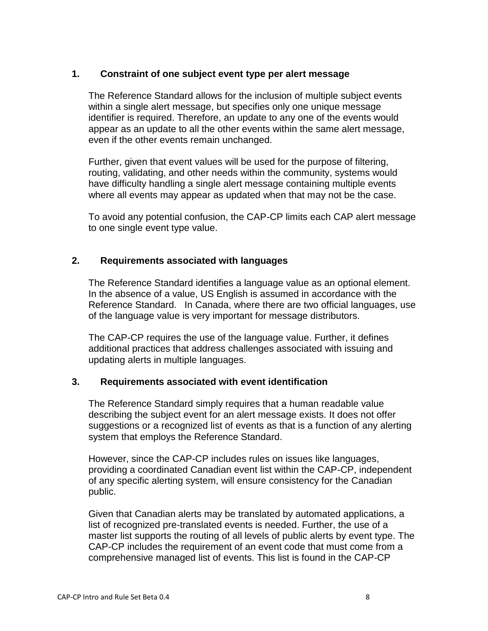### **1. Constraint of one subject event type per alert message**

The Reference Standard allows for the inclusion of multiple subject events within a single alert message, but specifies only one unique message identifier is required. Therefore, an update to any one of the events would appear as an update to all the other events within the same alert message, even if the other events remain unchanged.

Further, given that event values will be used for the purpose of filtering, routing, validating, and other needs within the community, systems would have difficulty handling a single alert message containing multiple events where all events may appear as updated when that may not be the case.

To avoid any potential confusion, the CAP-CP limits each CAP alert message to one single event type value.

### **2. Requirements associated with languages**

The Reference Standard identifies a language value as an optional element. In the absence of a value, US English is assumed in accordance with the Reference Standard. In Canada, where there are two official languages, use of the language value is very important for message distributors.

The CAP-CP requires the use of the language value. Further, it defines additional practices that address challenges associated with issuing and updating alerts in multiple languages.

#### **3. Requirements associated with event identification**

The Reference Standard simply requires that a human readable value describing the subject event for an alert message exists. It does not offer suggestions or a recognized list of events as that is a function of any alerting system that employs the Reference Standard.

However, since the CAP-CP includes rules on issues like languages, providing a coordinated Canadian event list within the CAP-CP, independent of any specific alerting system, will ensure consistency for the Canadian public.

Given that Canadian alerts may be translated by automated applications, a list of recognized pre-translated events is needed. Further, the use of a master list supports the routing of all levels of public alerts by event type. The CAP-CP includes the requirement of an event code that must come from a comprehensive managed list of events. This list is found in the CAP-CP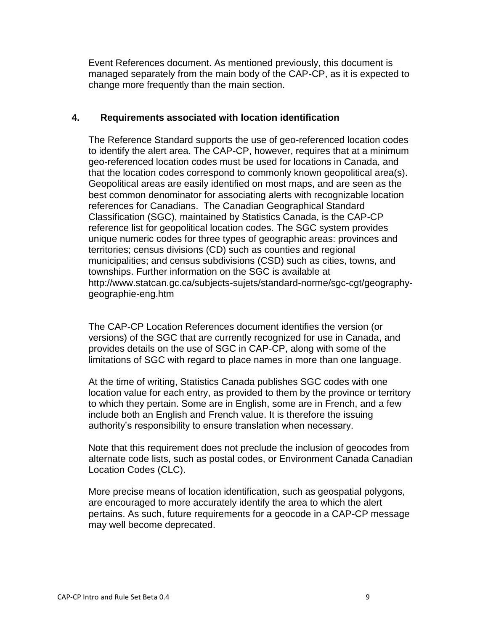Event References document. As mentioned previously, this document is managed separately from the main body of the CAP-CP, as it is expected to change more frequently than the main section.

### **4. Requirements associated with location identification**

The Reference Standard supports the use of geo-referenced location codes to identify the alert area. The CAP-CP, however, requires that at a minimum geo-referenced location codes must be used for locations in Canada, and that the location codes correspond to commonly known geopolitical area(s). Geopolitical areas are easily identified on most maps, and are seen as the best common denominator for associating alerts with recognizable location references for Canadians. The Canadian Geographical Standard Classification (SGC), maintained by Statistics Canada, is the CAP-CP reference list for geopolitical location codes. The SGC system provides unique numeric codes for three types of geographic areas: provinces and territories; census divisions (CD) such as counties and regional municipalities; and census subdivisions (CSD) such as cities, towns, and townships. Further information on the SGC is available at http://www.statcan.gc.ca/subjects-sujets/standard-norme/sgc-cgt/geographygeographie-eng.htm

The CAP-CP Location References document identifies the version (or versions) of the SGC that are currently recognized for use in Canada, and provides details on the use of SGC in CAP-CP, along with some of the limitations of SGC with regard to place names in more than one language.

At the time of writing, Statistics Canada publishes SGC codes with one location value for each entry, as provided to them by the province or territory to which they pertain. Some are in English, some are in French, and a few include both an English and French value. It is therefore the issuing authority"s responsibility to ensure translation when necessary.

Note that this requirement does not preclude the inclusion of geocodes from alternate code lists, such as postal codes, or Environment Canada Canadian Location Codes (CLC).

More precise means of location identification, such as geospatial polygons, are encouraged to more accurately identify the area to which the alert pertains. As such, future requirements for a geocode in a CAP-CP message may well become deprecated.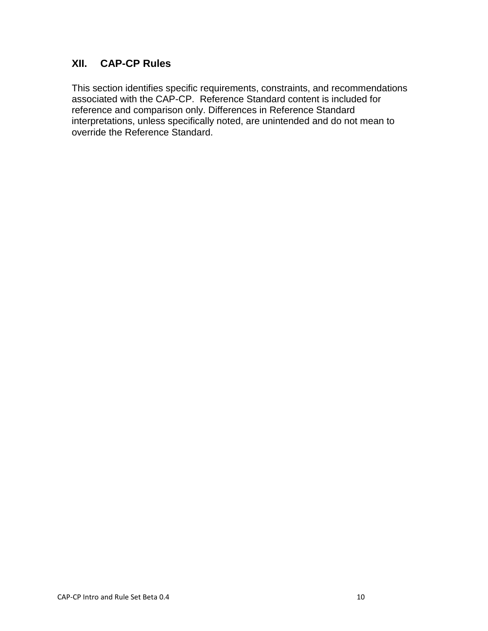### **XII. CAP-CP Rules**

This section identifies specific requirements, constraints, and recommendations associated with the CAP-CP. Reference Standard content is included for reference and comparison only. Differences in Reference Standard interpretations, unless specifically noted, are unintended and do not mean to override the Reference Standard.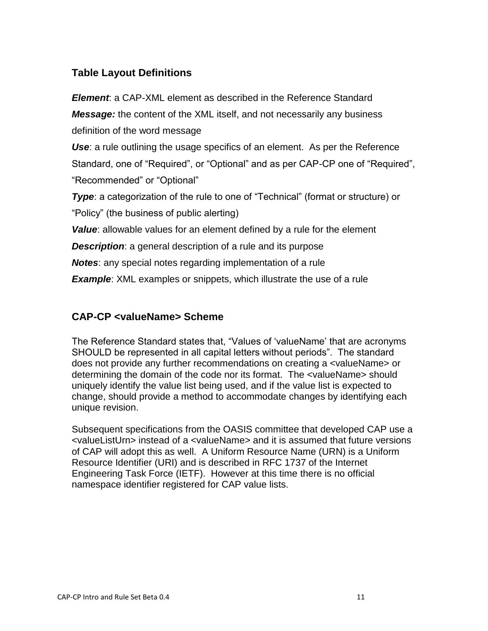## **Table Layout Definitions**

*Element*: a CAP-XML element as described in the Reference Standard *Message:* the content of the XML itself, and not necessarily any business definition of the word message

*Use*: a rule outlining the usage specifics of an element. As per the Reference Standard, one of "Required", or "Optional" and as per CAP-CP one of "Required", "Recommended" or "Optional"

**Type**: a categorization of the rule to one of "Technical" (format or structure) or "Policy" (the business of public alerting)

*Value*: allowable values for an element defined by a rule for the element

**Description**: a general description of a rule and its purpose

*Notes*: any special notes regarding implementation of a rule

**Example:** XML examples or snippets, which illustrate the use of a rule

## **CAP-CP <valueName> Scheme**

The Reference Standard states that, "Values of "valueName" that are acronyms SHOULD be represented in all capital letters without periods". The standard does not provide any further recommendations on creating a <valueName> or determining the domain of the code nor its format. The <valueName> should uniquely identify the value list being used, and if the value list is expected to change, should provide a method to accommodate changes by identifying each unique revision.

Subsequent specifications from the OASIS committee that developed CAP use a <valueListUrn> instead of a <valueName> and it is assumed that future versions of CAP will adopt this as well. A Uniform Resource Name (URN) is a Uniform Resource Identifier (URI) and is described in RFC 1737 of the Internet Engineering Task Force (IETF). However at this time there is no official namespace identifier registered for CAP value lists.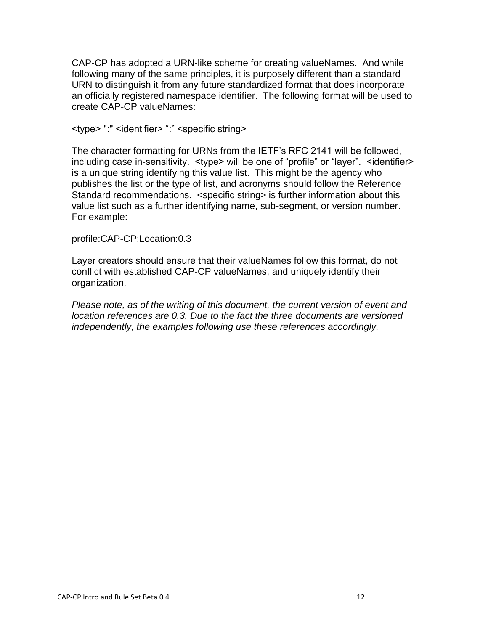CAP-CP has adopted a URN-like scheme for creating valueNames. And while following many of the same principles, it is purposely different than a standard URN to distinguish it from any future standardized format that does incorporate an officially registered namespace identifier. The following format will be used to create CAP-CP valueNames:

<type> ":" <identifier> ":" <specific string>

The character formatting for URNs from the IETF"s RFC 2141 will be followed, including case in-sensitivity. <type> will be one of "profile" or "layer". <identifier> is a unique string identifying this value list. This might be the agency who publishes the list or the type of list, and acronyms should follow the Reference Standard recommendations. <specific string> is further information about this value list such as a further identifying name, sub-segment, or version number. For example:

### profile:CAP-CP:Location:0.3

Layer creators should ensure that their valueNames follow this format, do not conflict with established CAP-CP valueNames, and uniquely identify their organization.

*Please note, as of the writing of this document, the current version of event and location references are 0.3. Due to the fact the three documents are versioned independently, the examples following use these references accordingly.*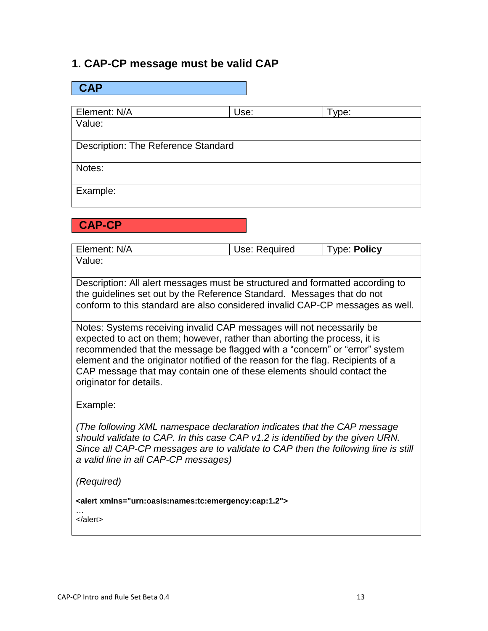### **1. CAP-CP message must be valid CAP**

| <b>CAP</b>                          |      |       |  |
|-------------------------------------|------|-------|--|
|                                     |      |       |  |
| Element: N/A                        | Use: | Type: |  |
| Value:                              |      |       |  |
| Description: The Reference Standard |      |       |  |
| Notes:                              |      |       |  |
| Example:                            |      |       |  |

**CAP-CP**

| Element: N/A | Use: Required | <b>Type: Policy</b> |
|--------------|---------------|---------------------|
| Value:       |               |                     |

Description: All alert messages must be structured and formatted according to the guidelines set out by the Reference Standard. Messages that do not conform to this standard are also considered invalid CAP-CP messages as well.

Notes: Systems receiving invalid CAP messages will not necessarily be expected to act on them; however, rather than aborting the process, it is recommended that the message be flagged with a "concern" or "error" system element and the originator notified of the reason for the flag. Recipients of a CAP message that may contain one of these elements should contact the originator for details.

Example:

*(The following XML namespace declaration indicates that the CAP message should validate to CAP. In this case CAP v1.2 is identified by the given URN. Since all CAP-CP messages are to validate to CAP then the following line is still a valid line in all CAP-CP messages)*

*(Required)*

**<alert xmlns="urn:oasis:names:tc:emergency:cap:1.2">**

… </alert>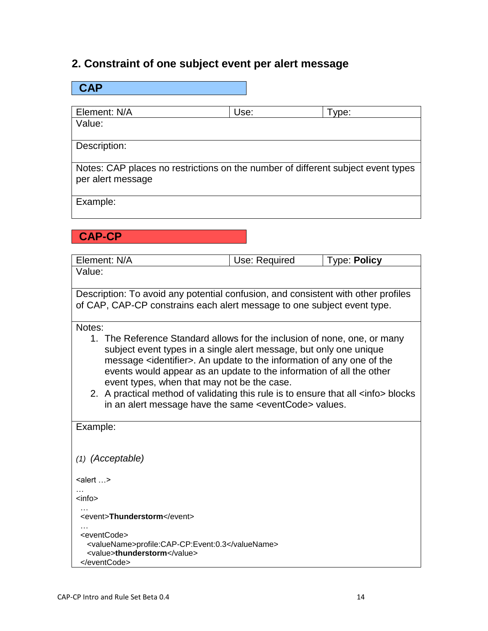## **2. Constraint of one subject event per alert message**

| <b>CAP</b>                                                                                                                                                                                                                                                                                                                                                                                                                                                                                                                                                                                                                                                                                                |               |                     |  |
|-----------------------------------------------------------------------------------------------------------------------------------------------------------------------------------------------------------------------------------------------------------------------------------------------------------------------------------------------------------------------------------------------------------------------------------------------------------------------------------------------------------------------------------------------------------------------------------------------------------------------------------------------------------------------------------------------------------|---------------|---------------------|--|
|                                                                                                                                                                                                                                                                                                                                                                                                                                                                                                                                                                                                                                                                                                           |               |                     |  |
| Element: N/A                                                                                                                                                                                                                                                                                                                                                                                                                                                                                                                                                                                                                                                                                              | Use:          | Type:               |  |
| Value:                                                                                                                                                                                                                                                                                                                                                                                                                                                                                                                                                                                                                                                                                                    |               |                     |  |
| Description:                                                                                                                                                                                                                                                                                                                                                                                                                                                                                                                                                                                                                                                                                              |               |                     |  |
| Notes: CAP places no restrictions on the number of different subject event types<br>per alert message                                                                                                                                                                                                                                                                                                                                                                                                                                                                                                                                                                                                     |               |                     |  |
| Example:                                                                                                                                                                                                                                                                                                                                                                                                                                                                                                                                                                                                                                                                                                  |               |                     |  |
| <b>CAP-CP</b>                                                                                                                                                                                                                                                                                                                                                                                                                                                                                                                                                                                                                                                                                             |               |                     |  |
| Element: N/A                                                                                                                                                                                                                                                                                                                                                                                                                                                                                                                                                                                                                                                                                              | Use: Required | <b>Type: Policy</b> |  |
| Value:                                                                                                                                                                                                                                                                                                                                                                                                                                                                                                                                                                                                                                                                                                    |               |                     |  |
| Description: To avoid any potential confusion, and consistent with other profiles<br>of CAP, CAP-CP constrains each alert message to one subject event type.<br>Notes:<br>1. The Reference Standard allows for the inclusion of none, one, or many<br>subject event types in a single alert message, but only one unique<br>message <identifier>. An update to the information of any one of the<br/>events would appear as an update to the information of all the other<br/>event types, when that may not be the case.<br/>2. A practical method of validating this rule is to ensure that all <info> blocks<br/>in an alert message have the same <eventcode> values.</eventcode></info></identifier> |               |                     |  |
| Example:                                                                                                                                                                                                                                                                                                                                                                                                                                                                                                                                                                                                                                                                                                  |               |                     |  |
| $(1)$ (Acceptable)                                                                                                                                                                                                                                                                                                                                                                                                                                                                                                                                                                                                                                                                                        |               |                     |  |
| $\le$ alert  >                                                                                                                                                                                                                                                                                                                                                                                                                                                                                                                                                                                                                                                                                            |               |                     |  |
| <info></info>                                                                                                                                                                                                                                                                                                                                                                                                                                                                                                                                                                                                                                                                                             |               |                     |  |
| <event>Thunderstorm</event>                                                                                                                                                                                                                                                                                                                                                                                                                                                                                                                                                                                                                                                                               |               |                     |  |
| <eventcode><br/><valuename>profile:CAP-CP:Event:0.3</valuename><br/><value>thunderstorm</value><br/></eventcode>                                                                                                                                                                                                                                                                                                                                                                                                                                                                                                                                                                                          |               |                     |  |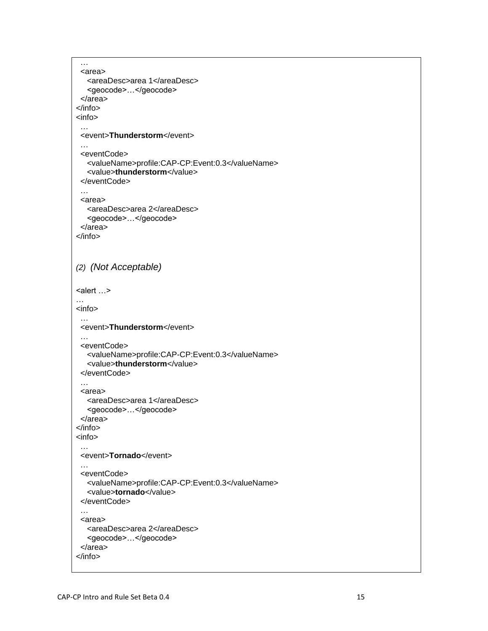```
 …
  <area>
   <areaDesc>area 1</areaDesc>
   <geocode>…</geocode>
  </area>
</info>
<info>
  …
 <event>Thunderstorm</event>
  …
  <eventCode>
   <valueName>profile:CAP-CP:Event:0.3</valueName>
   <value>thunderstorm</value>
  </eventCode>
  …
  <area>
   <areaDesc>area 2</areaDesc>
   <geocode>…</geocode>
  </area>
</info>
(2) (Not Acceptable)
<alert …>
…
<info>
  …
 <event>Thunderstorm</event>
 …
  <eventCode>
   <valueName>profile:CAP-CP:Event:0.3</valueName>
   <value>thunderstorm</value>
 </eventCode>
  …
 <area>
   <areaDesc>area 1</areaDesc>
   <geocode>…</geocode>
 </area>
</info>
<info>
  …
 <event>Tornado</event>
  …
 <eventCode>
   <valueName>profile:CAP-CP:Event:0.3</valueName>
   <value>tornado</value>
  </eventCode>
  …
  <area>
   <areaDesc>area 2</areaDesc>
   <geocode>…</geocode>
  </area>
</info>
```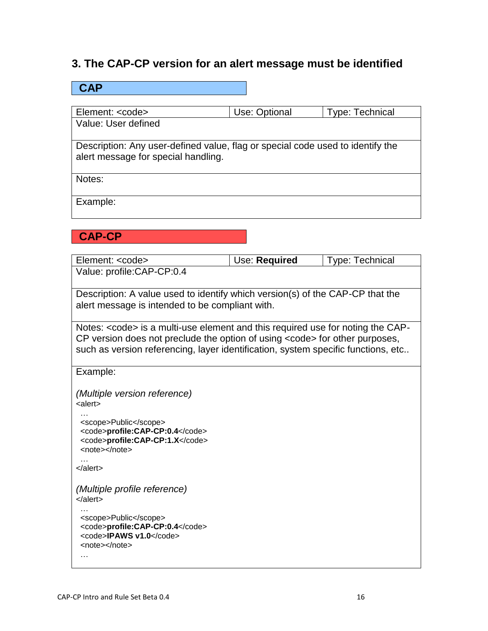## **3. The CAP-CP version for an alert message must be identified**

| <b>CAP</b>                                                                     |               |                        |
|--------------------------------------------------------------------------------|---------------|------------------------|
|                                                                                |               |                        |
| Element: <code></code>                                                         | Use: Optional | <b>Type: Technical</b> |
| Value: User defined                                                            |               |                        |
|                                                                                |               |                        |
| Description: Any user-defined value, flag or special code used to identify the |               |                        |
| alert message for special handling.                                            |               |                        |
| Notes:                                                                         |               |                        |
| Example:                                                                       |               |                        |
|                                                                                |               |                        |
| <b>CAP-CP</b>                                                                  |               |                        |
|                                                                                |               |                        |

| Element: <code></code>                                                                                       | Use: Required | <b>Type: Technical</b> |
|--------------------------------------------------------------------------------------------------------------|---------------|------------------------|
| Value: profile:CAP-CP:0.4                                                                                    |               |                        |
| Description: A value used to identify which version(s) of the CAP-CP that the                                |               |                        |
| alert message is intended to be compliant with.                                                              |               |                        |
| Notes: <code> is a multi-use element and this required use for noting the CAP-</code>                        |               |                        |
| CP version does not preclude the option of using <code> for other purposes,</code>                           |               |                        |
| such as version referencing, layer identification, system specific functions, etc                            |               |                        |
| Example:                                                                                                     |               |                        |
| (Multiple version reference)                                                                                 |               |                        |
| <alert></alert>                                                                                              |               |                        |
| <scope>Public</scope><br><code>profile:CAP-CP:0.4</code><br><code>profile:CAP-CP:1.X</code><br><note></note> |               |                        |
| $\alpha$ dert                                                                                                |               |                        |
| (Multiple profile reference)<br>$\alpha$ dert                                                                |               |                        |
| <scope>Public</scope><br><code>profile:CAP-CP:0.4</code><br><code>IPAWS v1.0</code><br><note></note><br>.    |               |                        |
|                                                                                                              |               |                        |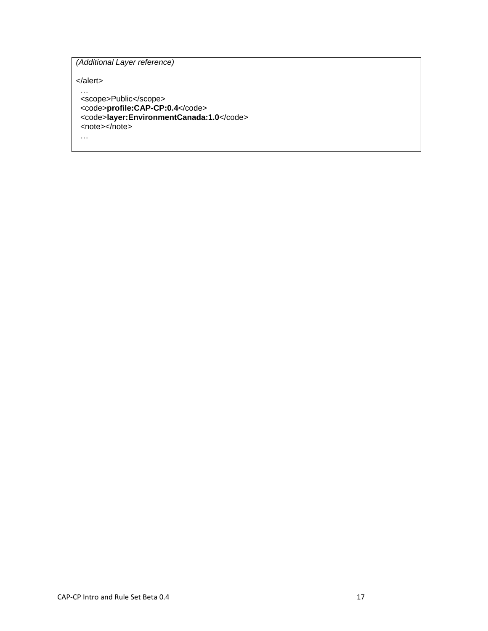*(Additional Layer reference)* 

</alert>

 … <scope>Public</scope> <code>**profile:CAP-CP:0.4**</code>  $\leq$ code>layer:EnvironmentCanada:1.0 $\leq$ /code> <note></note> …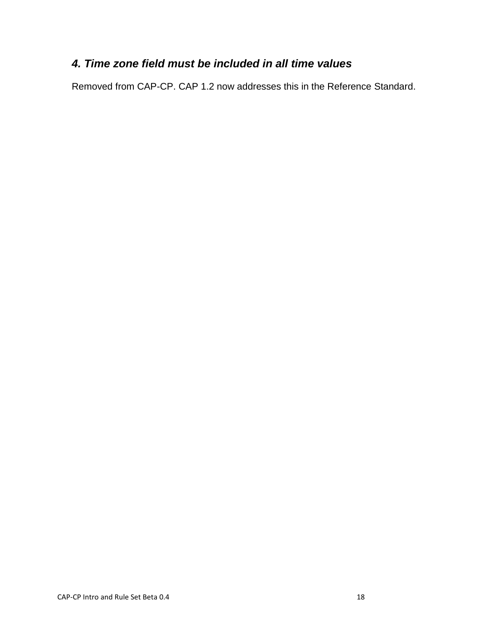## *4. Time zone field must be included in all time values*

Removed from CAP-CP. CAP 1.2 now addresses this in the Reference Standard.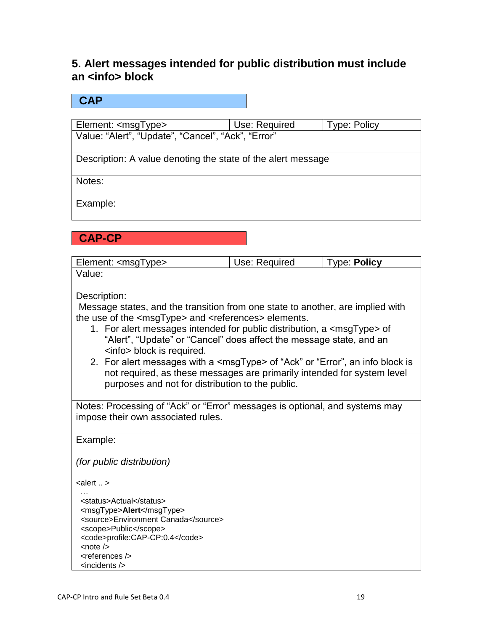## **5. Alert messages intended for public distribution must include an <info> block**

### **CAP**

Element: <msgType> Use: Required Type: Policy Value: "Alert", "Update", "Cancel", "Ack", "Error"

Description: A value denoting the state of the alert message

Notes:

Example:

**CAP-CP**

| Element: <msgtype></msgtype>                                                           | Use: Required                                                       | <b>Type: Policy</b> |  |  |
|----------------------------------------------------------------------------------------|---------------------------------------------------------------------|---------------------|--|--|
| Value:                                                                                 |                                                                     |                     |  |  |
| Description:                                                                           |                                                                     |                     |  |  |
| Message states, and the transition from one state to another, are implied with         |                                                                     |                     |  |  |
| the use of the <msgtype> and <references> elements.</references></msgtype>             |                                                                     |                     |  |  |
| 1. For alert messages intended for public distribution, a <msgtype> of</msgtype>       |                                                                     |                     |  |  |
| <info> block is required.</info>                                                       | "Alert", "Update" or "Cancel" does affect the message state, and an |                     |  |  |
| 2. For alert messages with a <msgtype> of "Ack" or "Error", an info block is</msgtype> |                                                                     |                     |  |  |
| not required, as these messages are primarily intended for system level                |                                                                     |                     |  |  |
| purposes and not for distribution to the public.                                       |                                                                     |                     |  |  |
|                                                                                        |                                                                     |                     |  |  |
| Notes: Processing of "Ack" or "Error" messages is optional, and systems may            |                                                                     |                     |  |  |
| impose their own associated rules.                                                     |                                                                     |                     |  |  |
| Example:                                                                               |                                                                     |                     |  |  |
|                                                                                        |                                                                     |                     |  |  |
| <i>(for public distribution)</i>                                                       |                                                                     |                     |  |  |
|                                                                                        |                                                                     |                     |  |  |
| $\leq$ alert  >                                                                        |                                                                     |                     |  |  |
| <status>Actual</status>                                                                |                                                                     |                     |  |  |
| <msgtype>Alert</msgtype>                                                               |                                                                     |                     |  |  |
| <source/> Environment Canada                                                           |                                                                     |                     |  |  |
| <scope>Public</scope>                                                                  |                                                                     |                     |  |  |
| <code>profile:CAP-CP:0.4</code>                                                        |                                                                     |                     |  |  |
| $\lt$ note $\lt$                                                                       |                                                                     |                     |  |  |
| <references></references>                                                              |                                                                     |                     |  |  |
| $\alpha$ incidents $\beta$                                                             |                                                                     |                     |  |  |
|                                                                                        |                                                                     |                     |  |  |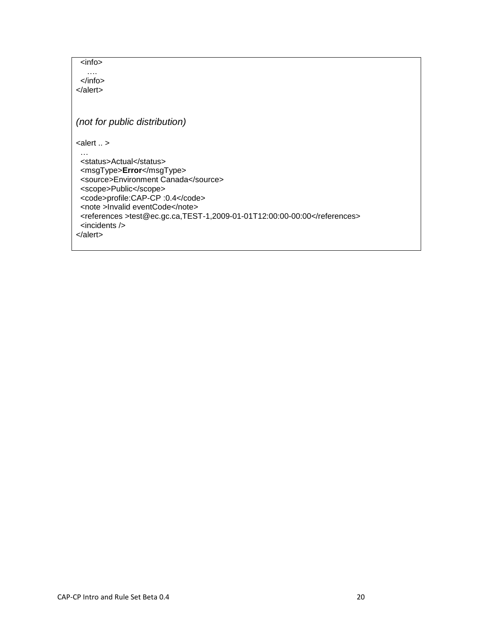<info>

 …. </info> </alert>

*(not for public distribution)*

 $\alpha$  alert  $\alpha$ .

 … <status>Actual</status> <msgType>**Error**</msgType> <source>Environment Canada</source> <scope>Public</scope> <code>profile:CAP-CP :0.4</code> <note >Invalid eventCode</note> <references >test@ec.gc.ca,TEST-1,2009-01-01T12:00:00-00:00</references> <incidents /> </alert>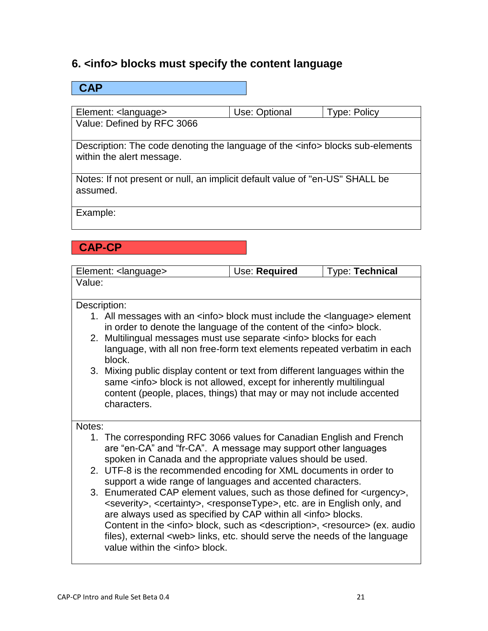## **6. <info> blocks must specify the content language**

| $\mathsf{CAP}$                                                                                                     |               |                     |
|--------------------------------------------------------------------------------------------------------------------|---------------|---------------------|
|                                                                                                                    |               |                     |
| Element: <language></language>                                                                                     | Use: Optional | <b>Type: Policy</b> |
| Value: Defined by RFC 3066                                                                                         |               |                     |
| Description: The code denoting the language of the <info> blocks sub-elements<br/>within the alert message.</info> |               |                     |
| Notes: If not present or null, an implicit default value of "en-US" SHALL be<br>assumed.                           |               |                     |
| Example:                                                                                                           |               |                     |
| <b>CAP-CP</b>                                                                                                      |               |                     |

|        | Element: <language></language>                                                                                                                                                                                                                                                                                                                                                                                                                                                                                         | Use: Required | Type: Technical |  |
|--------|------------------------------------------------------------------------------------------------------------------------------------------------------------------------------------------------------------------------------------------------------------------------------------------------------------------------------------------------------------------------------------------------------------------------------------------------------------------------------------------------------------------------|---------------|-----------------|--|
| Value: |                                                                                                                                                                                                                                                                                                                                                                                                                                                                                                                        |               |                 |  |
|        | Description:                                                                                                                                                                                                                                                                                                                                                                                                                                                                                                           |               |                 |  |
|        | 1. All messages with an <info> block must include the <language> element<br/>in order to denote the language of the content of the <info> block.</info></language></info>                                                                                                                                                                                                                                                                                                                                              |               |                 |  |
|        | 2. Multilingual messages must use separate <info> blocks for each<br/>language, with all non free-form text elements repeated verbatim in each<br/>block.</info>                                                                                                                                                                                                                                                                                                                                                       |               |                 |  |
|        | 3. Mixing public display content or text from different languages within the<br>same <info> block is not allowed, except for inherently multilingual<br/>content (people, places, things) that may or may not include accented<br/>characters.</info>                                                                                                                                                                                                                                                                  |               |                 |  |
| Notes: |                                                                                                                                                                                                                                                                                                                                                                                                                                                                                                                        |               |                 |  |
|        | 1. The corresponding RFC 3066 values for Canadian English and French<br>are "en-CA" and "fr-CA". A message may support other languages<br>spoken in Canada and the appropriate values should be used.                                                                                                                                                                                                                                                                                                                  |               |                 |  |
|        | 2. UTF-8 is the recommended encoding for XML documents in order to<br>support a wide range of languages and accented characters.                                                                                                                                                                                                                                                                                                                                                                                       |               |                 |  |
|        | 3. Enumerated CAP element values, such as those defined for <urgency>,<br/><severity>, <certainty>, <responsetype>, etc. are in English only, and<br/>are always used as specified by CAP within all <info> blocks.<br/>Content in the <info> block, such as <description>, <resource> (ex. audio<br/>files), external <web> links, etc. should serve the needs of the language<br/>value within the <info> block.</info></web></resource></description></info></info></responsetype></certainty></severity></urgency> |               |                 |  |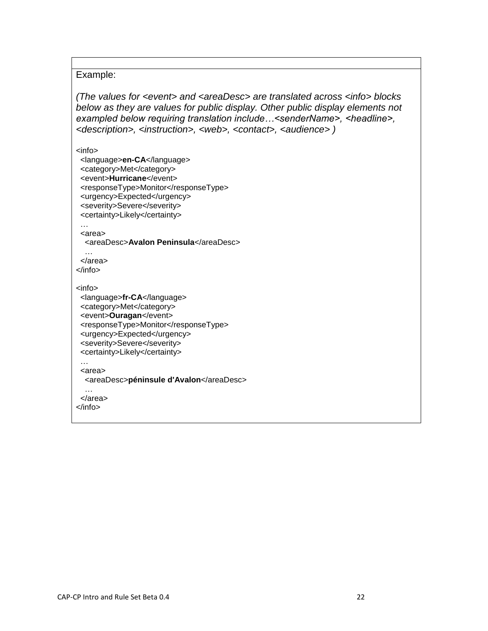#### Example:

*(The values for <event> and <areaDesc> are translated across <info> blocks below as they are values for public display. Other public display elements not exampled below requiring translation include…<senderName>, <headline>, <description>, <instruction>, <web>, <contact>, <audience> )*

<info>

 <language>**en-CA**</language> <category>Met</category> <event>**Hurricane**</event> <responseType>Monitor</responseType> <urgency>Expected</urgency> <severity>Severe</severity> <certainty>Likely</certainty>

 … <area>

<areaDesc>**Avalon Peninsula**</areaDesc>

 … </area> </info>

<info>

 <language>**fr-CA**</language> <category>Met</category> <event>**Ouragan**</event> <responseType>Monitor</responseType> <urgency>Expected</urgency> <severity>Severe</severity> <certainty>Likely</certainty> …

<area>

<areaDesc>**péninsule d'Avalon**</areaDesc>

 … </area>

</info>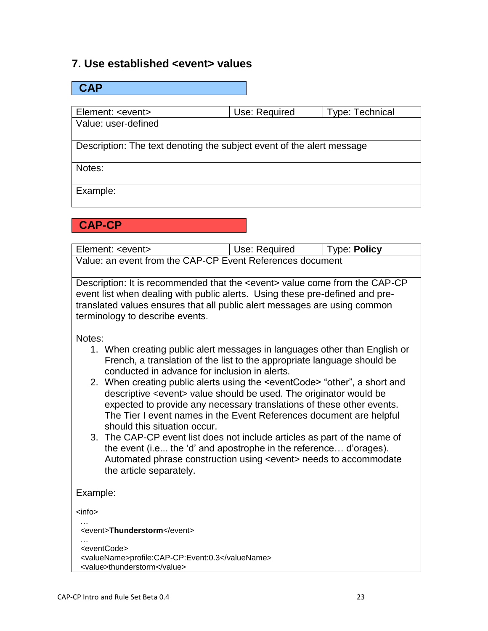### **7. Use established <event> values**

| CAP                                                                   |               |                        |  |
|-----------------------------------------------------------------------|---------------|------------------------|--|
|                                                                       |               |                        |  |
| Element: <event></event>                                              | Use: Required | <b>Type: Technical</b> |  |
| Value: user-defined                                                   |               |                        |  |
|                                                                       |               |                        |  |
| Description: The text denoting the subject event of the alert message |               |                        |  |
| Notes:                                                                |               |                        |  |
|                                                                       |               |                        |  |
| Example:                                                              |               |                        |  |
|                                                                       |               |                        |  |

### **CAP-CP**

| Element: <event></event>                                  | Use: Required | $\vert$ Type: Policy |  |
|-----------------------------------------------------------|---------------|----------------------|--|
| Value: an event from the CAP-CP Event References document |               |                      |  |

Description: It is recommended that the <event> value come from the CAP-CP event list when dealing with public alerts. Using these pre-defined and pretranslated values ensures that all public alert messages are using common terminology to describe events.

Notes:

- 1. When creating public alert messages in languages other than English or French, a translation of the list to the appropriate language should be conducted in advance for inclusion in alerts.
- 2. When creating public alerts using the <eventCode> "other", a short and descriptive <event> value should be used. The originator would be expected to provide any necessary translations of these other events. The Tier I event names in the Event References document are helpful should this situation occur.
- 3. The CAP-CP event list does not include articles as part of the name of the event (i.e... the "d" and apostrophe in the reference… d"orages). Automated phrase construction using <event> needs to accommodate the article separately.

### Example:

<info>

 … <event>**Thunderstorm**</event>

| .                                               |  |
|-------------------------------------------------|--|
| <eventcode></eventcode>                         |  |
| <valuename>profile:CAP-CP:Event:0.3</valuename> |  |
| <value>thunderstorm</value>                     |  |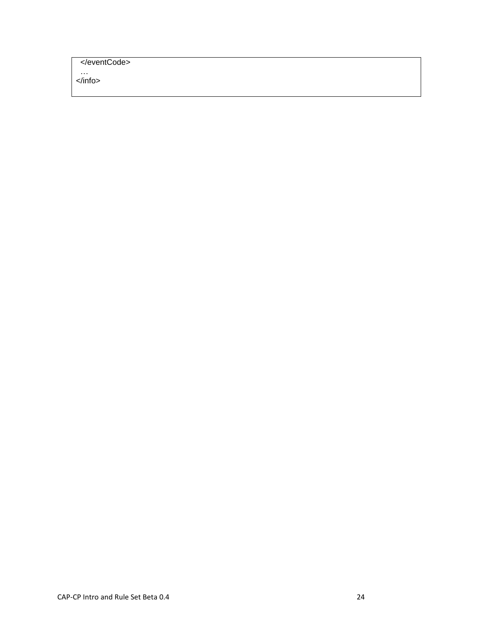</eventCode>

 … </info>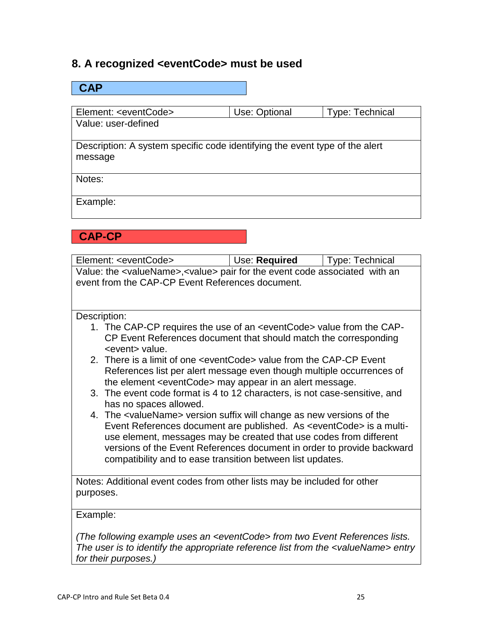## **8. A recognized <eventCode> must be used**

# **CAP** Element: <eventCode> Use: Optional Type: Technical Value: user-defined Description: A system specific code identifying the event type of the alert message Notes: Example:

## **CAP-CP**

| Element: <eventcode></eventcode>                                                                                                                                                                                                                                                                                                                                                      | Use: Required | <b>Type: Technical</b> |  |
|---------------------------------------------------------------------------------------------------------------------------------------------------------------------------------------------------------------------------------------------------------------------------------------------------------------------------------------------------------------------------------------|---------------|------------------------|--|
| Value: the <valuename>, <value> pair for the event code associated with an<br/>event from the CAP-CP Event References document.</value></valuename>                                                                                                                                                                                                                                   |               |                        |  |
| Description:                                                                                                                                                                                                                                                                                                                                                                          |               |                        |  |
| 1. The CAP-CP requires the use of an <eventcode> value from the CAP-<br/>CP Event References document that should match the corresponding<br/><event> value.</event></eventcode>                                                                                                                                                                                                      |               |                        |  |
| 2. There is a limit of one <eventcode> value from the CAP-CP Event<br/>References list per alert message even though multiple occurrences of<br/>the element <eventcode> may appear in an alert message.</eventcode></eventcode>                                                                                                                                                      |               |                        |  |
| 3. The event code format is 4 to 12 characters, is not case-sensitive, and<br>has no spaces allowed.                                                                                                                                                                                                                                                                                  |               |                        |  |
| 4. The <valuename> version suffix will change as new versions of the<br/>Event References document are published. As <eventcode> is a multi-<br/>use element, messages may be created that use codes from different<br/>versions of the Event References document in order to provide backward<br/>compatibility and to ease transition between list updates.</eventcode></valuename> |               |                        |  |
| Notes: Additional event codes from other lists may be included for other<br>purposes.                                                                                                                                                                                                                                                                                                 |               |                        |  |
| Example:                                                                                                                                                                                                                                                                                                                                                                              |               |                        |  |
| (The following example uses an <eventcode> from two Event References lists.<br/>The user is to identify the appropriate reference list from the <valuename> entry<br/>for their purposes.)</valuename></eventcode>                                                                                                                                                                    |               |                        |  |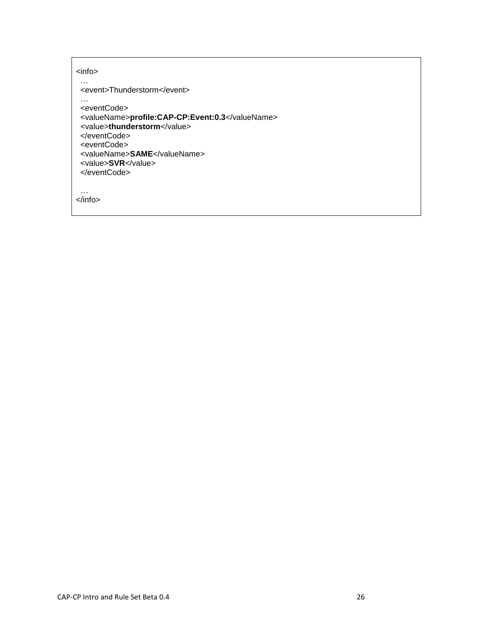| <info></info>                                                                                                                                                                                           |
|---------------------------------------------------------------------------------------------------------------------------------------------------------------------------------------------------------|
| <event>Thunderstorm</event>                                                                                                                                                                             |
| <eventcode><br/><valuename>profile:CAP-CP:Event:0.3</valuename><br/><value>thunderstorm</value><br/></eventcode><br><eventcode><br/><valuename>SAME</valuename><br/><value>SVR</value><br/></eventcode> |
|                                                                                                                                                                                                         |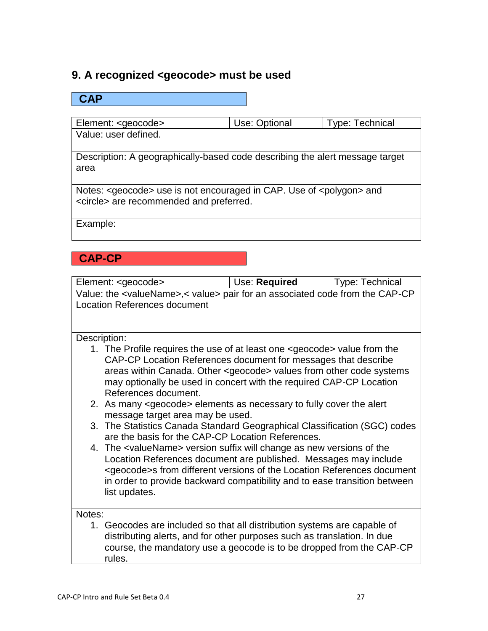## **9. A recognized <geocode> must be used**

### **CAP**

Element: <geocode> Use: Optional Type: Technical Value: user defined.

Description: A geographically-based code describing the alert message target area

Notes: <geocode> use is not encouraged in CAP. Use of <polygon> and <circle> are recommended and preferred.

Example:

## **CAP-CP**

| Element: <geocode></geocode>                                                                                                   | Use: Required                                                                                 | <b>Type: Technical</b> |  |
|--------------------------------------------------------------------------------------------------------------------------------|-----------------------------------------------------------------------------------------------|------------------------|--|
|                                                                                                                                | Value: the <valuename>,&lt; value&gt; pair for an associated code from the CAP-CP</valuename> |                        |  |
| <b>Location References document</b>                                                                                            |                                                                                               |                        |  |
|                                                                                                                                |                                                                                               |                        |  |
|                                                                                                                                |                                                                                               |                        |  |
| Description:                                                                                                                   |                                                                                               |                        |  |
| 1. The Profile requires the use of at least one <geocode> value from the</geocode>                                             |                                                                                               |                        |  |
| CAP-CP Location References document for messages that describe                                                                 |                                                                                               |                        |  |
| areas within Canada. Other <geocode> values from other code systems</geocode>                                                  |                                                                                               |                        |  |
| may optionally be used in concert with the required CAP-CP Location                                                            |                                                                                               |                        |  |
| References document.                                                                                                           |                                                                                               |                        |  |
|                                                                                                                                | 2. As many <geocode> elements as necessary to fully cover the alert</geocode>                 |                        |  |
| message target area may be used.                                                                                               |                                                                                               |                        |  |
| 3. The Statistics Canada Standard Geographical Classification (SGC) codes<br>are the basis for the CAP-CP Location References. |                                                                                               |                        |  |
| 4. The <valuename> version suffix will change as new versions of the</valuename>                                               |                                                                                               |                        |  |
| Location References document are published. Messages may include                                                               |                                                                                               |                        |  |
| <geocode>s from different versions of the Location References document</geocode>                                               |                                                                                               |                        |  |
| in order to provide backward compatibility and to ease transition between                                                      |                                                                                               |                        |  |
| list updates.                                                                                                                  |                                                                                               |                        |  |
|                                                                                                                                |                                                                                               |                        |  |
| Notes:                                                                                                                         |                                                                                               |                        |  |
| 1. Geocodes are included so that all distribution systems are capable of                                                       |                                                                                               |                        |  |
| distributing alerts, and for other purposes such as translation. In due                                                        |                                                                                               |                        |  |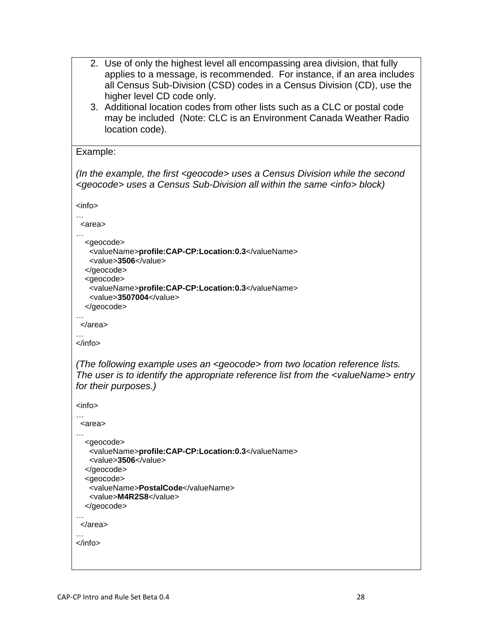```
2. Use of only the highest level all encompassing area division, that fully 
      applies to a message, is recommended. For instance, if an area includes 
      all Census Sub-Division (CSD) codes in a Census Division (CD), use the 
      higher level CD code only.
   3. Additional location codes from other lists such as a CLC or postal code 
      may be included (Note: CLC is an Environment Canada Weather Radio 
      location code).
Example:
(In the example, the first <geocode> uses a Census Division while the second 
<geocode> uses a Census Sub-Division all within the same <info> block)
<info>
…
  <area>
…
  <geocode>
    <valueName>profile:CAP-CP:Location:0.3</valueName>
    <value>3506</value>
  </geocode>
   <geocode>
    <valueName>profile:CAP-CP:Location:0.3</valueName>
    <value>3507004</value>
   </geocode>
…
 </area>
…
</info>
(The following example uses an <geocode> from two location reference lists. 
The user is to identify the appropriate reference list from the <valueName> entry 
for their purposes.)
<info>
…
 <area>
…
  <geocode>
    <valueName>profile:CAP-CP:Location:0.3</valueName>
    <value>3506</value>
  </geocode>
   <geocode>
    <valueName>PostalCode</valueName>
    <value>M4R2S8</value>
   </geocode>
…
  </area>
…
</info>
```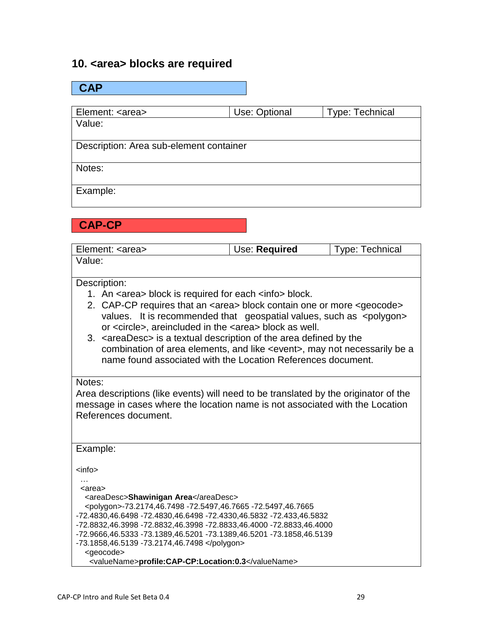### **10. <area> blocks are required**

| <b>CAP</b>                              |               |                 |
|-----------------------------------------|---------------|-----------------|
|                                         |               |                 |
| Element: <area/>                        | Use: Optional | Type: Technical |
| Value:                                  |               |                 |
| Description: Area sub-element container |               |                 |
| Notes:                                  |               |                 |
| Example:                                |               |                 |

**CAP-CP**

| Element: <area/> | Use: Required | <b>Type: Technical</b> |
|------------------|---------------|------------------------|
| Value:           |               |                        |

#### Description:

- 1. An <area> block is required for each <info> block.
- 2. CAP-CP requires that an <area> block contain one or more <geocode> values. It is recommended that geospatial values, such as <polygon> or <circle>, areincluded in the <area> block as well.
- 3. <areaDesc> is a textual description of the area defined by the combination of area elements, and like <event>, may not necessarily be a name found associated with the Location References document.

#### Notes:

Area descriptions (like events) will need to be translated by the originator of the message in cases where the location name is not associated with the Location References document.

| Example:                                                              |
|-----------------------------------------------------------------------|
|                                                                       |
|                                                                       |
| $info$                                                                |
| $\cdots$                                                              |
| <area/>                                                               |
| <areadesc>Shawinigan Area</areadesc>                                  |
|                                                                       |
| <polygon>-73.2174,46.7498 -72.5497,46.7665 -72.5497,46.7665</polygon> |
| -72.4830,46.6498 -72.4830,46.6498 -72.4330,46.5832 -72.433,46.5832    |
| -72.8832,46.3998 -72.8832,46.3998 -72.8833,46.4000 -72.8833,46.4000   |
| -72.9666,46.5333 -73.1389,46.5201 -73.1389,46.5201 -73.1858,46.5139   |
| -73.1858,46.5139 -73.2174,46.7498                                     |
| <geocode></geocode>                                                   |
| <valuename>profile:CAP-CP:Location:0.3</valuename>                    |
|                                                                       |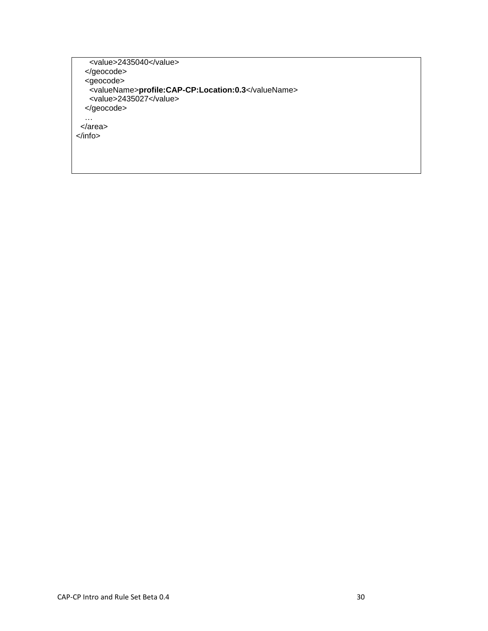<value>2435040</value> </geocode> <geocode> <valueName>**profile:CAP-CP:Location:0.3**</valueName> <value>2435027</value> </geocode> … </area> </info>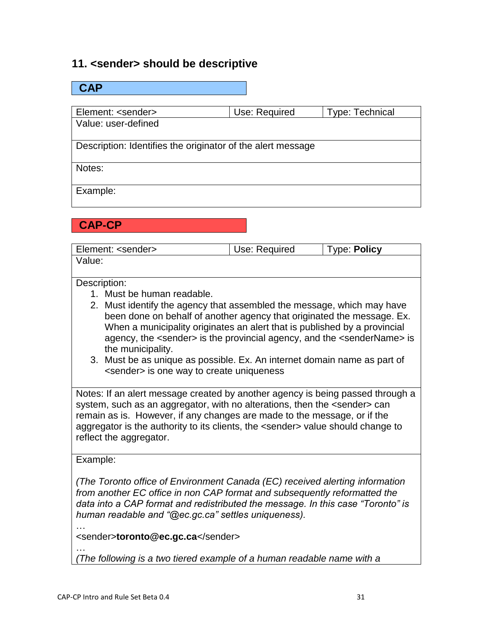### **11. <sender> should be descriptive**

| <b>CAP</b>                                                  |               |                        |
|-------------------------------------------------------------|---------------|------------------------|
|                                                             |               |                        |
| Element: <sender></sender>                                  | Use: Required | <b>Type: Technical</b> |
| Value: user-defined                                         |               |                        |
|                                                             |               |                        |
| Description: Identifies the originator of the alert message |               |                        |
|                                                             |               |                        |
| Notes:                                                      |               |                        |
|                                                             |               |                        |
| Example:                                                    |               |                        |
|                                                             |               |                        |

**CAP-CP**

| Element: <sender></sender> | Use: Required | <b>Type: Policy</b> |
|----------------------------|---------------|---------------------|
| Value:                     |               |                     |

### Description:

- 1. Must be human readable.
- 2. Must identify the agency that assembled the message, which may have been done on behalf of another agency that originated the message. Ex. When a municipality originates an alert that is published by a provincial agency, the <sender> is the provincial agency, and the <senderName> is the municipality.
- 3. Must be as unique as possible. Ex. An internet domain name as part of <sender> is one way to create uniqueness

Notes: If an alert message created by another agency is being passed through a system, such as an aggregator, with no alterations, then the <sender> can remain as is. However, if any changes are made to the message, or if the aggregator is the authority to its clients, the <sender> value should change to reflect the aggregator.

Example:

…

*(The Toronto office of Environment Canada (EC) received alerting information from another EC office in non CAP format and subsequently reformatted the data into a CAP format and redistributed the message. In this case "Toronto" is human readable and "@ec.gc.ca" settles uniqueness).* 

<sender>**toronto@ec.gc.ca**</sender>

… *(The following is a two tiered example of a human readable name with a*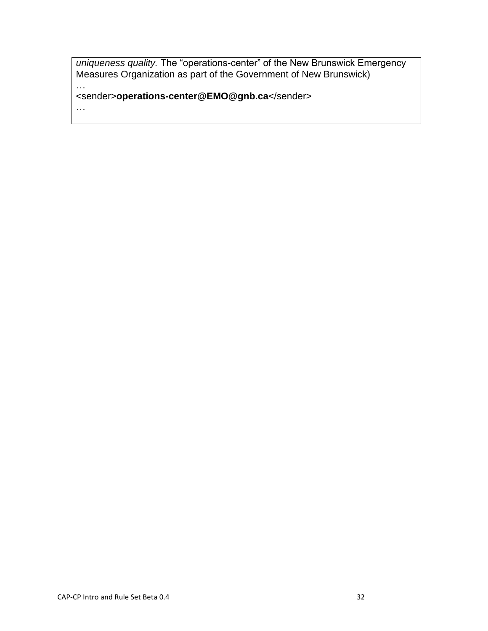*uniqueness quality.* The "operations-center" of the New Brunswick Emergency Measures Organization as part of the Government of New Brunswick) …

<sender>**operations-center@EMO@gnb.ca**</sender>

…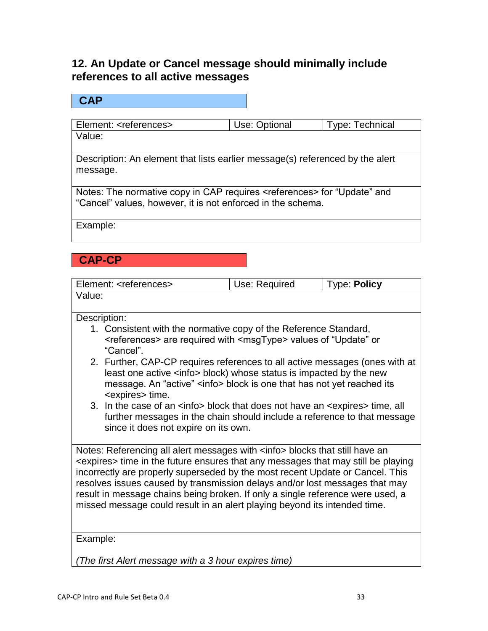## **12. An Update or Cancel message should minimally include references to all active messages**

### **CAP**

Element: <references> Use: Optional Type: Technical Value:

Description: An element that lists earlier message(s) referenced by the alert message.

Notes: The normative copy in CAP requires <references> for "Update" and "Cancel" values, however, it is not enforced in the schema.

Example:

## **CAP-CP**

| Element: <references></references>                                                                                                                                                                                                                                                                                                                                                                                                                                                                                   | Use: Required | <b>Type: Policy</b> |
|----------------------------------------------------------------------------------------------------------------------------------------------------------------------------------------------------------------------------------------------------------------------------------------------------------------------------------------------------------------------------------------------------------------------------------------------------------------------------------------------------------------------|---------------|---------------------|
| Value:                                                                                                                                                                                                                                                                                                                                                                                                                                                                                                               |               |                     |
|                                                                                                                                                                                                                                                                                                                                                                                                                                                                                                                      |               |                     |
| Description:<br>1. Consistent with the normative copy of the Reference Standard,<br><references> are required with <msgtype> values of "Update" or<br/>"Cancel".</msgtype></references>                                                                                                                                                                                                                                                                                                                              |               |                     |
| 2. Further, CAP-CP requires references to all active messages (ones with at<br>least one active <info> block) whose status is impacted by the new<br/>message. An "active" <info> block is one that has not yet reached its<br/><expires> time.</expires></info></info>                                                                                                                                                                                                                                              |               |                     |
| 3. In the case of an <info> block that does not have an <expires> time, all<br/>further messages in the chain should include a reference to that message<br/>since it does not expire on its own.</expires></info>                                                                                                                                                                                                                                                                                                   |               |                     |
| Notes: Referencing all alert messages with <info> blocks that still have an<br/><expires> time in the future ensures that any messages that may still be playing<br/>incorrectly are properly superseded by the most recent Update or Cancel. This<br/>resolves issues caused by transmission delays and/or lost messages that may<br/>result in message chains being broken. If only a single reference were used, a<br/>missed message could result in an alert playing beyond its intended time.</expires></info> |               |                     |
| Example:                                                                                                                                                                                                                                                                                                                                                                                                                                                                                                             |               |                     |
|                                                                                                                                                                                                                                                                                                                                                                                                                                                                                                                      |               |                     |

*(The first Alert message with a 3 hour expires time)*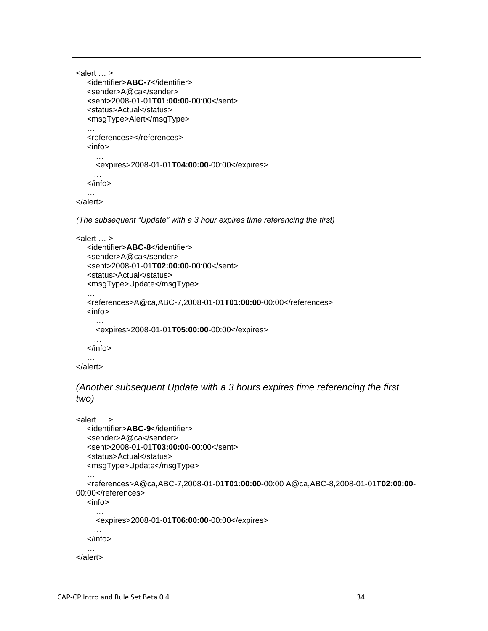```
\leqalert \ldots >
   <identifier>ABC-7</identifier>
    <sender>A@ca</sender>
    <sent>2008-01-01T01:00:00-00:00</sent>
    <status>Actual</status>
    <msgType>Alert</msgType>
    …
   <references></references>
    <info>
      …
      <expires>2008-01-01T04:00:00-00:00</expires>
 …
    </info>
    …
</alert>
(The subsequent "Update" with a 3 hour expires time referencing the first)
\leqalert \ldots >
    <identifier>ABC-8</identifier>
    <sender>A@ca</sender>
    <sent>2008-01-01T02:00:00-00:00</sent>
    <status>Actual</status>
    <msgType>Update</msgType>
 …
    <references>A@ca,ABC-7,2008-01-01T01:00:00-00:00</references>
    <info>
      …
      <expires>2008-01-01T05:00:00-00:00</expires>
      …
    </info>
    …
</alert>
(Another subsequent Update with a 3 hours expires time referencing the first 
two)
\leq alert \ldots >
   <identifier>ABC-9</identifier>
    <sender>A@ca</sender>
    <sent>2008-01-01T03:00:00-00:00</sent>
    <status>Actual</status>
    <msgType>Update</msgType>
    …
    <references>A@ca,ABC-7,2008-01-01T01:00:00-00:00 A@ca,ABC-8,2008-01-01T02:00:00-
00:00</references>
    <info>
      …
      <expires>2008-01-01T06:00:00-00:00</expires>
    </info>
    …
</alert>
```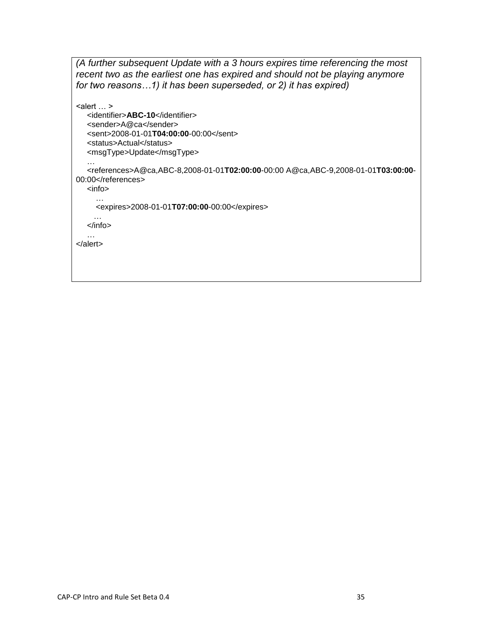*(A further subsequent Update with a 3 hours expires time referencing the most recent two as the earliest one has expired and should not be playing anymore for two reasons…1) it has been superseded, or 2) it has expired)*

```
\leqalert \ldots >
   <identifier>ABC-10</identifier>
    <sender>A@ca</sender>
    <sent>2008-01-01T04:00:00-00:00</sent>
    <status>Actual</status>
   <msgType>Update</msgType>
    …
    <references>A@ca,ABC-8,2008-01-01T02:00:00-00:00 A@ca,ABC-9,2008-01-01T03:00:00-
00:00</references>
   <info>
      …
      <expires>2008-01-01T07:00:00-00:00</expires>
 …
    </info>
 …
</alert>
```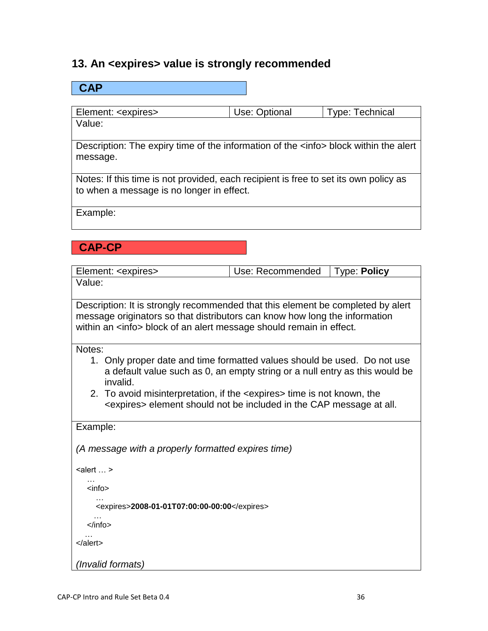### **13. An <expires> value is strongly recommended**

## **CAP** Element: <expires> Use: Optional Type: Technical Value: Description: The expiry time of the information of the <info> block within the alert message. Notes: If this time is not provided, each recipient is free to set its own policy as to when a message is no longer in effect. Example: **CAP-CP** Element: <expires> Use: Recommended Type: **Policy** Value: Description: It is strongly recommended that this element be completed by alert message originators so that distributors can know how long the information within an <info> block of an alert message should remain in effect. Notes: 1. Only proper date and time formatted values should be used. Do not use a default value such as 0, an empty string or a null entry as this would be invalid. 2. To avoid misinterpretation, if the <expires> time is not known, the <expires> element should not be included in the CAP message at all. Example: *(A message with a properly formatted expires time)*

 $\leq$ alert  $\ldots$  > … <info> … <expires>**2008-01-01T07:00:00-00:00**</expires> … </info> … </alert> *(Invalid formats)*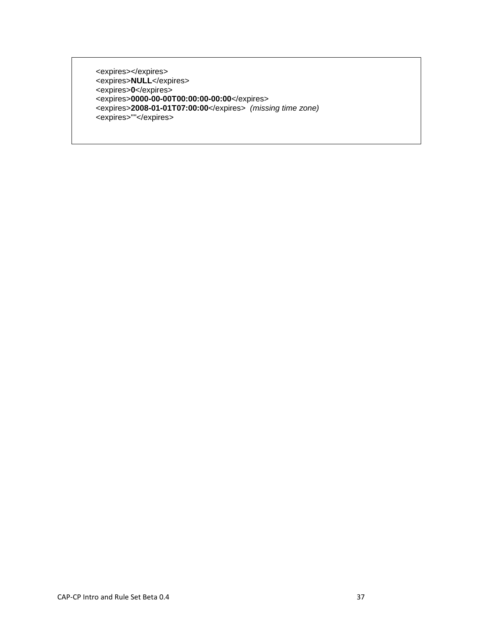<expires></expires> <expires>**NULL**</expires> <expires>**0**</expires> <expires>**0000-00-00T00:00:00-00:00**</expires> <expires>**2008-01-01T07:00:00**</expires> *(missing time zone)* <expires>""</expires>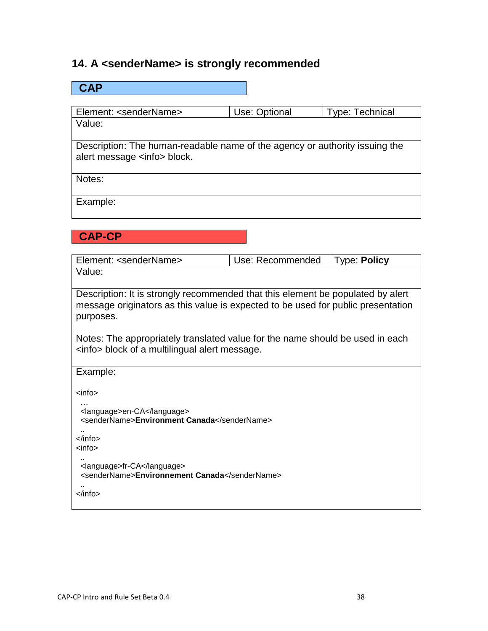## **14. A <senderName> is strongly recommended**

| <b>CAP</b>                                                                                                                                                                       |                  |                     |
|----------------------------------------------------------------------------------------------------------------------------------------------------------------------------------|------------------|---------------------|
|                                                                                                                                                                                  |                  |                     |
| Element: <sendername></sendername>                                                                                                                                               | Use: Optional    | Type: Technical     |
| Value:                                                                                                                                                                           |                  |                     |
| Description: The human-readable name of the agency or authority issuing the<br>alert message <info> block.</info>                                                                |                  |                     |
| Notes:                                                                                                                                                                           |                  |                     |
| Example:                                                                                                                                                                         |                  |                     |
| <b>CAP-CP</b>                                                                                                                                                                    |                  |                     |
| Element: <sendername></sendername>                                                                                                                                               | Use: Recommended | <b>Type: Policy</b> |
| Value:                                                                                                                                                                           |                  |                     |
| Description: It is strongly recommended that this element be populated by alert<br>message originators as this value is expected to be used for public presentation<br>purposes. |                  |                     |
| Notes: The appropriately translated value for the name should be used in each<br><info> block of a multilingual alert message.</info>                                            |                  |                     |
| Example:                                                                                                                                                                         |                  |                     |
| <info></info>                                                                                                                                                                    |                  |                     |
| <language>en-CA</language><br><sendername>Environment Canada</sendername>                                                                                                        |                  |                     |
| $\langle$ info $\rangle$<br><info></info>                                                                                                                                        |                  |                     |
| <language>fr-CA</language><br><sendername>Environnement Canada</sendername>                                                                                                      |                  |                     |
|                                                                                                                                                                                  |                  |                     |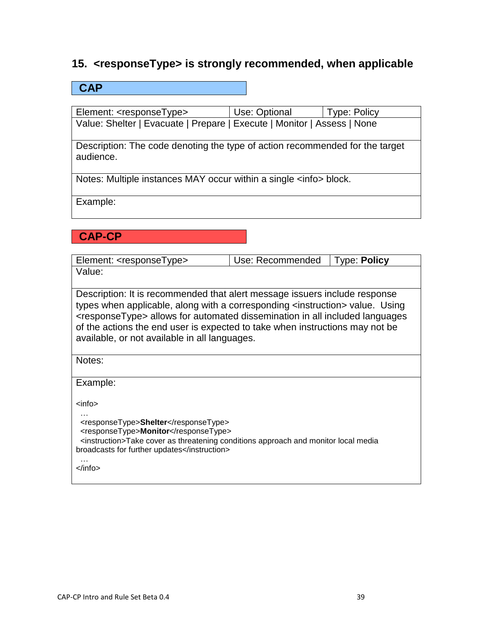## **15. <responseType> is strongly recommended, when applicable**

### **CAP**

Element: <responseType> Use: Optional Type: Policy Value: Shelter | Evacuate | Prepare | Execute | Monitor | Assess | None

Description: The code denoting the type of action recommended for the target audience.

Notes: Multiple instances MAY occur within a single <info> block.

Example:

## **CAP-CP**

| Element: <responsetype></responsetype>                                                                                                                                                                                                                                                                                                                                                                     | Use: Recommended | <b>Type: Policy</b> |  |
|------------------------------------------------------------------------------------------------------------------------------------------------------------------------------------------------------------------------------------------------------------------------------------------------------------------------------------------------------------------------------------------------------------|------------------|---------------------|--|
| Value:                                                                                                                                                                                                                                                                                                                                                                                                     |                  |                     |  |
| Description: It is recommended that alert message issuers include response<br>types when applicable, along with a corresponding <instruction> value. Using<br/><responsetype> allows for automated dissemination in all included languages<br/>of the actions the end user is expected to take when instructions may not be<br/>available, or not available in all languages.</responsetype></instruction> |                  |                     |  |
| Notes:                                                                                                                                                                                                                                                                                                                                                                                                     |                  |                     |  |
| Example:                                                                                                                                                                                                                                                                                                                                                                                                   |                  |                     |  |
| $info$                                                                                                                                                                                                                                                                                                                                                                                                     |                  |                     |  |
| <responsetype>Shelter</responsetype><br><responsetype>Monitor</responsetype><br><instruction>Take cover as threatening conditions approach and monitor local media<br/>broadcasts for further updates</instruction><br>$\langle$ info $\rangle$                                                                                                                                                            |                  |                     |  |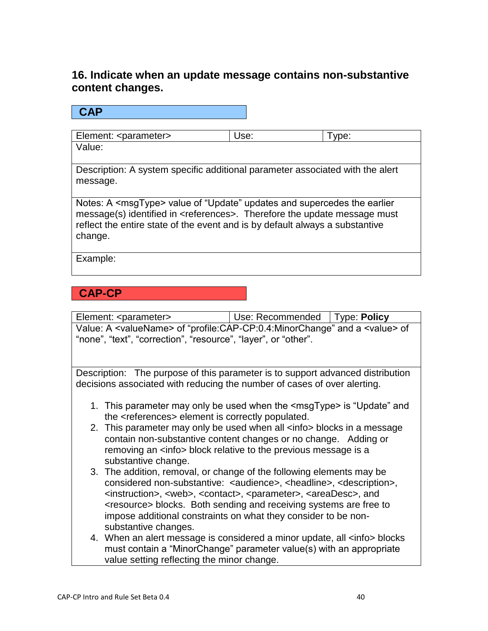## **16. Indicate when an update message contains non-substantive content changes.**

**CAP**

| Element: <parameter></parameter> | Use: | I vpe: |
|----------------------------------|------|--------|
| Value:                           |      |        |

Description: A system specific additional parameter associated with the alert message.

Notes: A <msgType> value of "Update" updates and supercedes the earlier message(s) identified in <references>. Therefore the update message must reflect the entire state of the event and is by default always a substantive change.

Example:

## **CAP-CP**

Element: <parameter> Use: Recommended Type: **Policy** Value: A <valueName> of "profile:CAP-CP:0.4:MinorChange" and a <value> of "none", "text", "correction", "resource", "layer", or "other".

Description: The purpose of this parameter is to support advanced distribution decisions associated with reducing the number of cases of over alerting.

- 1. This parameter may only be used when the <msgType> is "Update" and the <references> element is correctly populated.
- 2. This parameter may only be used when all <info > blocks in a message contain non-substantive content changes or no change. Adding or removing an <info> block relative to the previous message is a substantive change.
- 3. The addition, removal, or change of the following elements may be considered non-substantive: <audience>, <headline>, <description>, <instruction>, <web>, <contact>, <parameter>, <areaDesc>, and <resource> blocks. Both sending and receiving systems are free to impose additional constraints on what they consider to be nonsubstantive changes.
- 4. When an alert message is considered a minor update, all <info > blocks must contain a "MinorChange" parameter value(s) with an appropriate value setting reflecting the minor change.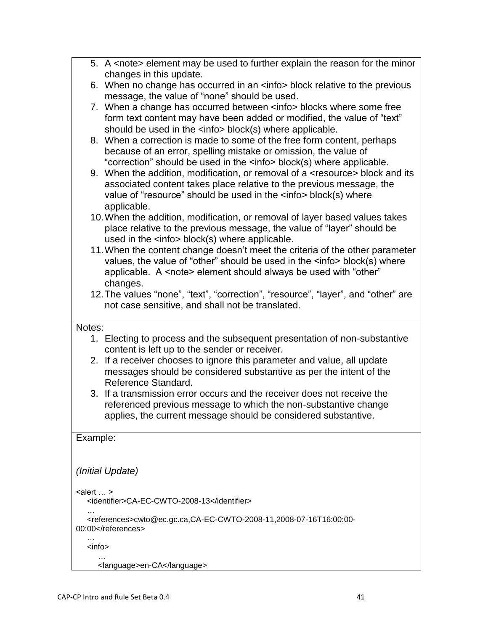|                                                                                          | 5. A <note> element may be used to further explain the reason for the minor</note>      |  |  |  |  |
|------------------------------------------------------------------------------------------|-----------------------------------------------------------------------------------------|--|--|--|--|
|                                                                                          | changes in this update.                                                                 |  |  |  |  |
|                                                                                          | 6. When no change has occurred in an <info> block relative to the previous</info>       |  |  |  |  |
|                                                                                          | message, the value of "none" should be used.                                            |  |  |  |  |
|                                                                                          | 7. When a change has occurred between <info> blocks where some free</info>              |  |  |  |  |
|                                                                                          | form text content may have been added or modified, the value of "text"                  |  |  |  |  |
|                                                                                          | should be used in the <info> block(s) where applicable.</info>                          |  |  |  |  |
|                                                                                          | 8. When a correction is made to some of the free form content, perhaps                  |  |  |  |  |
|                                                                                          | because of an error, spelling mistake or omission, the value of                         |  |  |  |  |
|                                                                                          | "correction" should be used in the <info> block(s) where applicable.</info>             |  |  |  |  |
|                                                                                          | 9. When the addition, modification, or removal of a <resource> block and its</resource> |  |  |  |  |
|                                                                                          | associated content takes place relative to the previous message, the                    |  |  |  |  |
|                                                                                          | value of "resource" should be used in the <info> block(s) where</info>                  |  |  |  |  |
|                                                                                          | applicable.                                                                             |  |  |  |  |
|                                                                                          | 10. When the addition, modification, or removal of layer based values takes             |  |  |  |  |
|                                                                                          | place relative to the previous message, the value of "layer" should be                  |  |  |  |  |
|                                                                                          | used in the <info> block(s) where applicable.</info>                                    |  |  |  |  |
|                                                                                          | 11. When the content change doesn't meet the criteria of the other parameter            |  |  |  |  |
|                                                                                          | values, the value of "other" should be used in the <info> block(s) where</info>         |  |  |  |  |
|                                                                                          | applicable. A <note> element should always be used with "other"</note>                  |  |  |  |  |
|                                                                                          | changes.                                                                                |  |  |  |  |
|                                                                                          | 12. The values "none", "text", "correction", "resource", "layer", and "other" are       |  |  |  |  |
|                                                                                          | not case sensitive, and shall not be translated.                                        |  |  |  |  |
| Notes:                                                                                   |                                                                                         |  |  |  |  |
|                                                                                          | 1. Electing to process and the subsequent presentation of non-substantive               |  |  |  |  |
|                                                                                          | content is left up to the sender or receiver.                                           |  |  |  |  |
|                                                                                          | 2. If a receiver chooses to ignore this parameter and value, all update                 |  |  |  |  |
|                                                                                          | messages should be considered substantive as per the intent of the                      |  |  |  |  |
|                                                                                          | Reference Standard.                                                                     |  |  |  |  |
|                                                                                          | 3. If a transmission error occurs and the receiver does not receive the                 |  |  |  |  |
|                                                                                          | referenced previous message to which the non-substantive change                         |  |  |  |  |
|                                                                                          | applies, the current message should be considered substantive.                          |  |  |  |  |
|                                                                                          |                                                                                         |  |  |  |  |
| Example:                                                                                 |                                                                                         |  |  |  |  |
|                                                                                          |                                                                                         |  |  |  |  |
|                                                                                          |                                                                                         |  |  |  |  |
|                                                                                          | (Initial Update)                                                                        |  |  |  |  |
|                                                                                          |                                                                                         |  |  |  |  |
| $\leq$ alert  ><br><identifier>CA-EC-CWTO-2008-13</identifier>                           |                                                                                         |  |  |  |  |
|                                                                                          |                                                                                         |  |  |  |  |
| <references>cwto@ec.gc.ca,CA-EC-CWTO-2008-11,2008-07-16T16:00:00-<br/>00:00</references> |                                                                                         |  |  |  |  |
|                                                                                          | <info></info>                                                                           |  |  |  |  |
|                                                                                          | <language>en-CA</language>                                                              |  |  |  |  |
|                                                                                          |                                                                                         |  |  |  |  |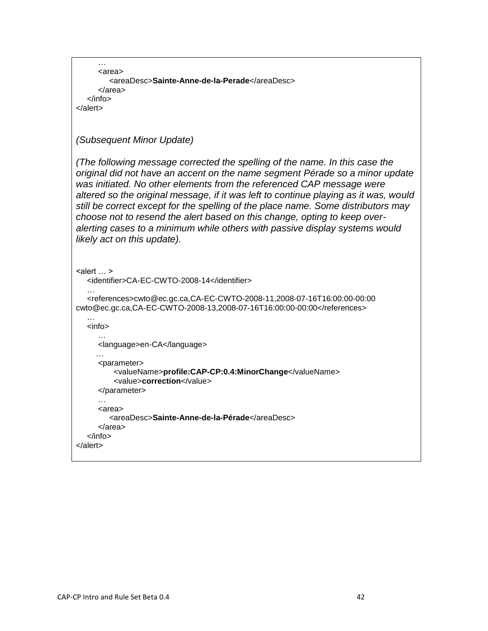```
 …
      <area>
         <areaDesc>Sainte-Anne-de-la-Perade</areaDesc>
      </area> 
   </info>
</alert>
(Subsequent Minor Update)
(The following message corrected the spelling of the name. In this case the 
original did not have an accent on the name segment Pérade so a minor update 
was initiated. No other elements from the referenced CAP message were 
altered so the original message, if it was left to continue playing as it was, would 
still be correct except for the spelling of the place name. Some distributors may 
choose not to resend the alert based on this change, opting to keep over-
alerting cases to a minimum while others with passive display systems would 
likely act on this update).
\leqalert \ldots >
   <identifier>CA-EC-CWTO-2008-14</identifier>
   …
   <references>cwto@ec.gc.ca,CA-EC-CWTO-2008-11,2008-07-16T16:00:00-00:00 
cwto@ec.gc.ca,CA-EC-CWTO-2008-13,2008-07-16T16:00:00-00:00</references>
   …
   <info>
 …
      <language>en-CA</language>
 …
      <parameter>
          <valueName>profile:CAP-CP:0.4:MinorChange</valueName>
          <value>correction</value>
      </parameter>
      …
      <area>
         <areaDesc>Sainte-Anne-de-la-Pérade</areaDesc>
      </area> 
   </info>
</alert>
```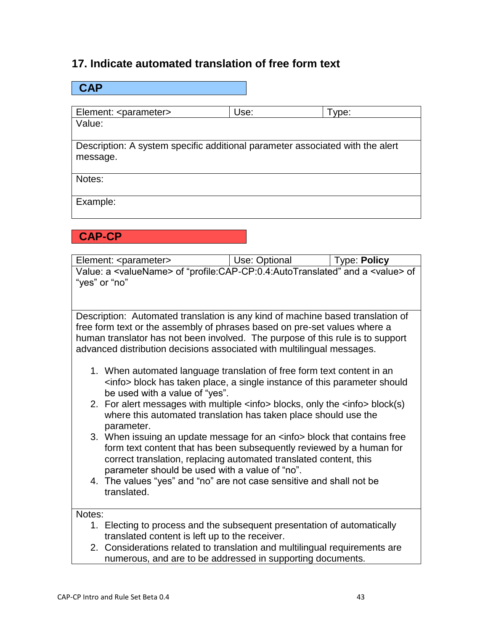### **17. Indicate automated translation of free form text**

| <b>CAP</b>                       |                                                                               |       |  |  |  |  |
|----------------------------------|-------------------------------------------------------------------------------|-------|--|--|--|--|
|                                  |                                                                               |       |  |  |  |  |
| Element: <parameter></parameter> | Use:                                                                          | Type: |  |  |  |  |
| Value:                           |                                                                               |       |  |  |  |  |
|                                  |                                                                               |       |  |  |  |  |
|                                  | Description: A system specific additional parameter associated with the alert |       |  |  |  |  |
| message.                         |                                                                               |       |  |  |  |  |
|                                  |                                                                               |       |  |  |  |  |
| Notes:                           |                                                                               |       |  |  |  |  |
|                                  |                                                                               |       |  |  |  |  |
| Example:                         |                                                                               |       |  |  |  |  |
|                                  |                                                                               |       |  |  |  |  |

### **CAP-CP**

Element: <parameter>  $\begin{array}{c|c} \hline \text{Element:} < \text{parameter} > \end{array}$ Value: a <valueName> of "profile:CAP-CP:0.4:AutoTranslated" and a <value> of "yes" or "no"

Description: Automated translation is any kind of machine based translation of free form text or the assembly of phrases based on pre-set values where a human translator has not been involved. The purpose of this rule is to support advanced distribution decisions associated with multilingual messages.

- 1. When automated language translation of free form text content in an <info> block has taken place, a single instance of this parameter should be used with a value of "yes".
- 2. For alert messages with multiple <info> blocks, only the <info> block(s) where this automated translation has taken place should use the parameter.
- 3. When issuing an update message for an <info> block that contains free form text content that has been subsequently reviewed by a human for correct translation, replacing automated translated content, this parameter should be used with a value of "no".
- 4. The values "yes" and "no" are not case sensitive and shall not be translated.

#### Notes:

- 1. Electing to process and the subsequent presentation of automatically translated content is left up to the receiver.
- 2. Considerations related to translation and multilingual requirements are numerous, and are to be addressed in supporting documents.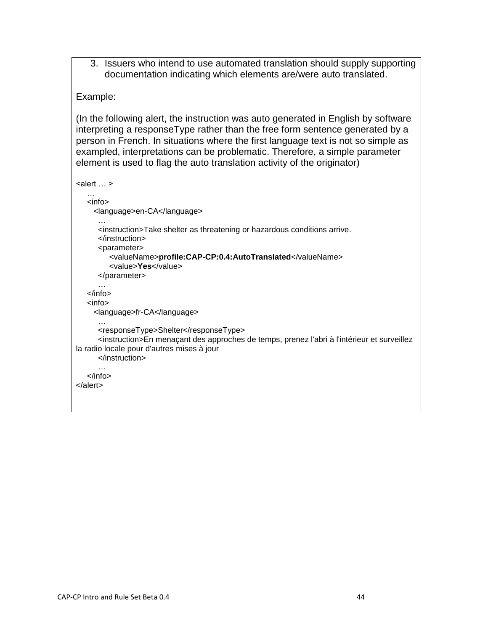3. Issuers who intend to use automated translation should supply supporting documentation indicating which elements are/were auto translated.

#### Example:

(In the following alert, the instruction was auto generated in English by software interpreting a responseType rather than the free form sentence generated by a person in French. In situations where the first language text is not so simple as exampled, interpretations can be problematic. Therefore, a simple parameter element is used to flag the auto translation activity of the originator)

```
\leq alert \ldots >
    …
    <info>
      <language>en-CA</language>
 …
       <instruction>Take shelter as threatening or hazardous conditions arrive.
       </instruction>
       <parameter>
          <valueName>profile:CAP-CP:0.4:AutoTranslated</valueName>
          <value>Yes</value>
       </parameter>
 …
    </info>
    <info>
      <language>fr-CA</language>
 …
       <responseType>Shelter</responseType>
       <instruction>En menaçant des approches de temps, prenez l'abri à l'intérieur et surveillez 
la radio locale pour d'autres mises à jour
       </instruction>
 …
    </info>
</alert>
```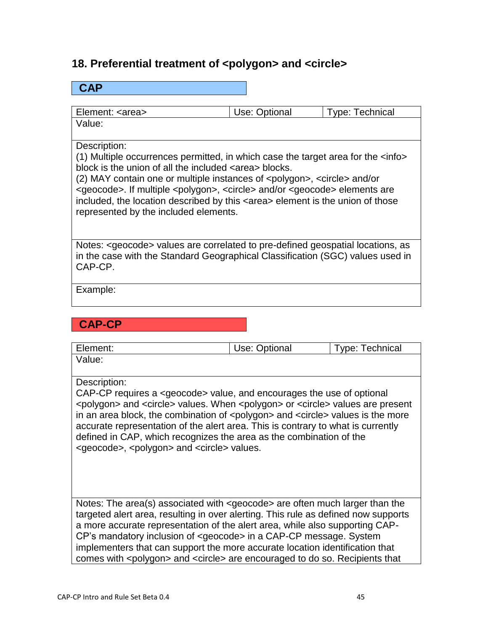## 18. Preferential treatment of <polygon> and <circle>

### **CAP**

| Element: <area/> | Use: Optional | <b>Type: Technical</b> |
|------------------|---------------|------------------------|
| Value:           |               |                        |

### Description:

(1) Multiple occurrences permitted, in which case the target area for the <info> block is the union of all the included <area> blocks.

(2) MAY contain one or multiple instances of <polygon>, <circle> and/or <geocode>. If multiple <polygon>, <circle> and/or <geocode> elements are included, the location described by this <area> element is the union of those represented by the included elements.

Notes: <geocode> values are correlated to pre-defined geospatial locations, as in the case with the Standard Geographical Classification (SGC) values used in CAP-CP.

Example:

### **CAP-CP**

| Element:                                                                                                                                                                               | Use: Optional | <b>Type: Technical</b> |  |  |  |  |
|----------------------------------------------------------------------------------------------------------------------------------------------------------------------------------------|---------------|------------------------|--|--|--|--|
| Value:                                                                                                                                                                                 |               |                        |  |  |  |  |
|                                                                                                                                                                                        |               |                        |  |  |  |  |
| Description:                                                                                                                                                                           |               |                        |  |  |  |  |
| CAP-CP requires a <geocode> value, and encourages the use of optional</geocode>                                                                                                        |               |                        |  |  |  |  |
| <polygon> and <circle> values. When <polygon> or <circle> values are present</circle></polygon></circle></polygon>                                                                     |               |                        |  |  |  |  |
| in an area block, the combination of <polygon> and <circle> values is the more<br/>accurate representation of the alert area. This is contrary to what is currently</circle></polygon> |               |                        |  |  |  |  |
| defined in CAP, which recognizes the area as the combination of the                                                                                                                    |               |                        |  |  |  |  |
| <geocode>, <polygon> and <circle> values.</circle></polygon></geocode>                                                                                                                 |               |                        |  |  |  |  |
|                                                                                                                                                                                        |               |                        |  |  |  |  |
|                                                                                                                                                                                        |               |                        |  |  |  |  |
|                                                                                                                                                                                        |               |                        |  |  |  |  |
|                                                                                                                                                                                        |               |                        |  |  |  |  |
| Notes: The area(s) associated with $\leq$ geocode are often much larger than the                                                                                                       |               |                        |  |  |  |  |
| targeted alert area, resulting in over alerting. This rule as defined now supports<br>a more accurate representation of the alert area, while also supporting CAP-                     |               |                        |  |  |  |  |
| CP's mandatory inclusion of <geocode> in a CAP-CP message. System</geocode>                                                                                                            |               |                        |  |  |  |  |
| implementers that can support the more accurate location identification that                                                                                                           |               |                        |  |  |  |  |
| comes with <polygon> and <circle> are encouraged to do so. Recipients that</circle></polygon>                                                                                          |               |                        |  |  |  |  |